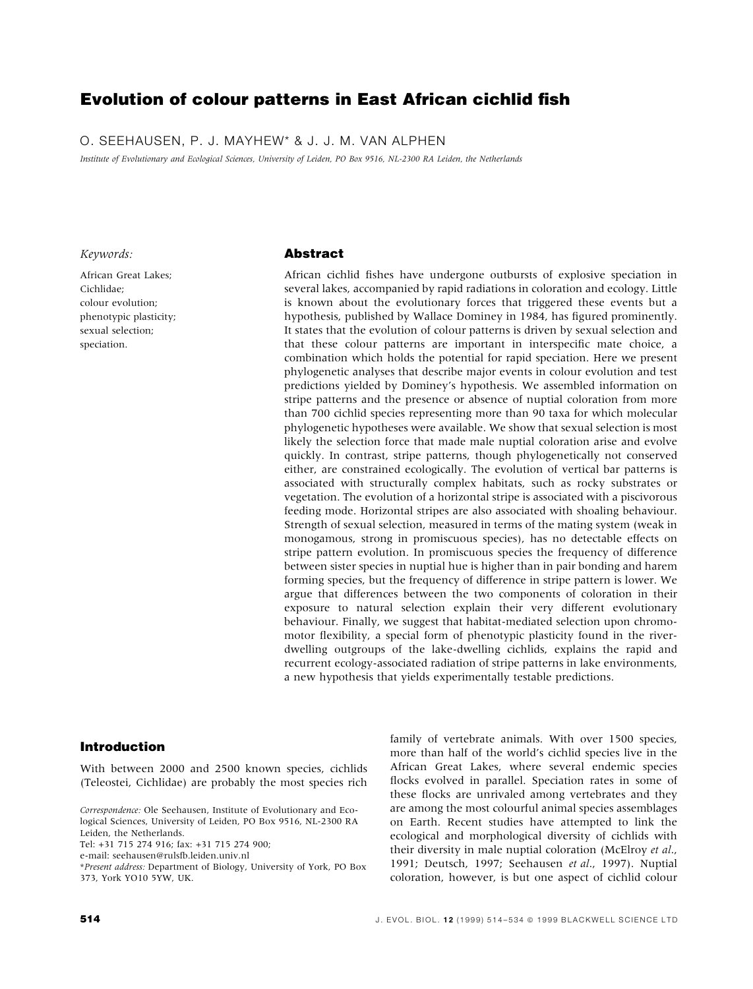# Evolution of colour patterns in East African cichlid fish

O. SEEHAUSEN, P. J. MAYHEW\* & J. J. M. VAN ALPHEN

Institute of Evolutionary and Ecological Sciences, University of Leiden, PO Box 9516, NL-2300 RA Leiden, the Netherlands

# Keywords:

African Great Lakes; Cichlidae; colour evolution; phenotypic plasticity; sexual selection; speciation.

# Abstract

African cichlid fishes have undergone outbursts of explosive speciation in several lakes, accompanied by rapid radiations in coloration and ecology. Little is known about the evolutionary forces that triggered these events but a hypothesis, published by Wallace Dominey in 1984, has figured prominently. It states that the evolution of colour patterns is driven by sexual selection and that these colour patterns are important in interspecific mate choice, a combination which holds the potential for rapid speciation. Here we present phylogenetic analyses that describe major events in colour evolution and test predictions yielded by Dominey's hypothesis. We assembled information on stripe patterns and the presence or absence of nuptial coloration from more than 700 cichlid species representing more than 90 taxa for which molecular phylogenetic hypotheses were available. We show that sexual selection is most likely the selection force that made male nuptial coloration arise and evolve quickly. In contrast, stripe patterns, though phylogenetically not conserved either, are constrained ecologically. The evolution of vertical bar patterns is associated with structurally complex habitats, such as rocky substrates or vegetation. The evolution of a horizontal stripe is associated with a piscivorous feeding mode. Horizontal stripes are also associated with shoaling behaviour. Strength of sexual selection, measured in terms of the mating system (weak in monogamous, strong in promiscuous species), has no detectable effects on stripe pattern evolution. In promiscuous species the frequency of difference between sister species in nuptial hue is higher than in pair bonding and harem forming species, but the frequency of difference in stripe pattern is lower. We argue that differences between the two components of coloration in their exposure to natural selection explain their very different evolutionary behaviour. Finally, we suggest that habitat-mediated selection upon chromomotor flexibility, a special form of phenotypic plasticity found in the riverdwelling outgroups of the lake-dwelling cichlids, explains the rapid and recurrent ecology-associated radiation of stripe patterns in lake environments, a new hypothesis that yields experimentally testable predictions.

# Introduction

With between 2000 and 2500 known species, cichlids (Teleostei, Cichlidae) are probably the most species rich

Correspondence: Ole Seehausen, Institute of Evolutionary and Ecological Sciences, University of Leiden, PO Box 9516, NL-2300 RA Leiden, the Netherlands.

Tel: +31 715 274 916; fax: +31 715 274 900;

e-mail: seehausen@rulsfb.leiden.univ.nl

\*Present address: Department of Biology, University of York, PO Box 373, York YO10 5YW, UK.

family of vertebrate animals. With over 1500 species, more than half of the world's cichlid species live in the African Great Lakes, where several endemic species flocks evolved in parallel. Speciation rates in some of these flocks are unrivaled among vertebrates and they are among the most colourful animal species assemblages on Earth. Recent studies have attempted to link the ecological and morphological diversity of cichlids with their diversity in male nuptial coloration (McElroy et al., 1991; Deutsch, 1997; Seehausen et al., 1997). Nuptial coloration, however, is but one aspect of cichlid colour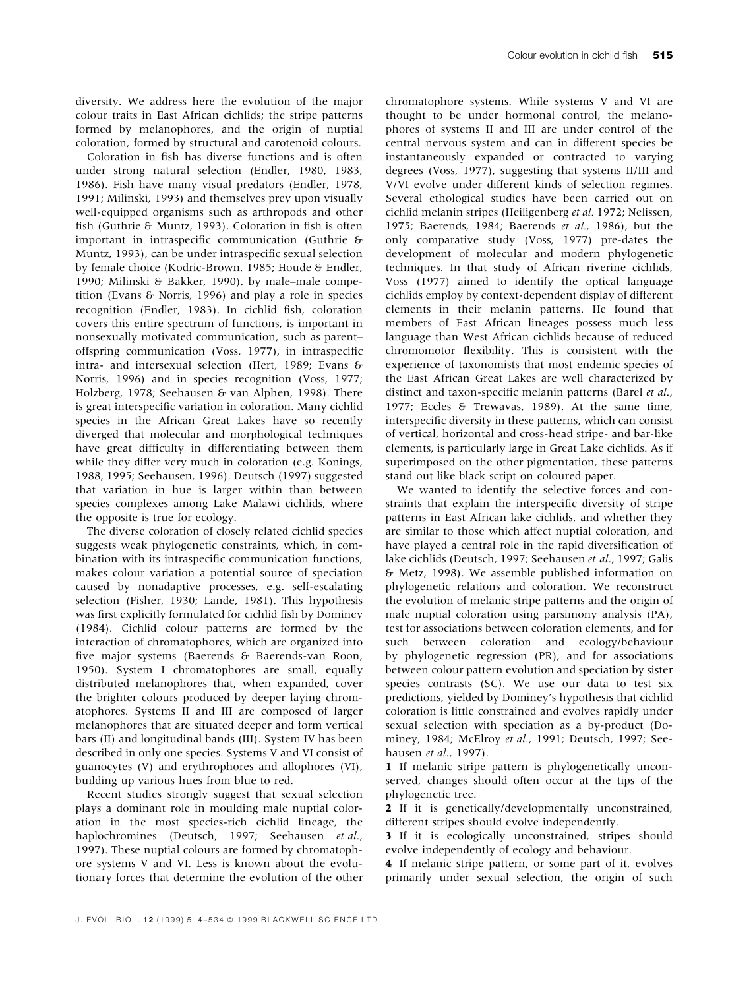diversity. We address here the evolution of the major colour traits in East African cichlids; the stripe patterns formed by melanophores, and the origin of nuptial coloration, formed by structural and carotenoid colours.

Coloration in fish has diverse functions and is often under strong natural selection (Endler, 1980, 1983, 1986). Fish have many visual predators (Endler, 1978, 1991; Milinski, 1993) and themselves prey upon visually well-equipped organisms such as arthropods and other fish (Guthrie & Muntz, 1993). Coloration in fish is often important in intraspecific communication (Guthrie  $\delta$ Muntz, 1993), can be under intraspecific sexual selection by female choice (Kodric-Brown, 1985; Houde & Endler, 1990; Milinski & Bakker, 1990), by male-male competition (Evans & Norris, 1996) and play a role in species recognition (Endler, 1983). In cichlid fish, coloration covers this entire spectrum of functions, is important in nonsexually motivated communication, such as parentoffspring communication (Voss, 1977), in intraspecific intra- and intersexual selection (Hert, 1989; Evans & Norris, 1996) and in species recognition (Voss, 1977; Holzberg, 1978; Seehausen & van Alphen, 1998). There is great interspecific variation in coloration. Many cichlid species in the African Great Lakes have so recently diverged that molecular and morphological techniques have great difficulty in differentiating between them while they differ very much in coloration (e.g. Konings, 1988, 1995; Seehausen, 1996). Deutsch (1997) suggested that variation in hue is larger within than between species complexes among Lake Malawi cichlids, where the opposite is true for ecology.

The diverse coloration of closely related cichlid species suggests weak phylogenetic constraints, which, in combination with its intraspecific communication functions, makes colour variation a potential source of speciation caused by nonadaptive processes, e.g. self-escalating selection (Fisher, 1930; Lande, 1981). This hypothesis was first explicitly formulated for cichlid fish by Dominey (1984). Cichlid colour patterns are formed by the interaction of chromatophores, which are organized into five major systems (Baerends & Baerends-van Roon, 1950). System I chromatophores are small, equally distributed melanophores that, when expanded, cover the brighter colours produced by deeper laying chromatophores. Systems II and III are composed of larger melanophores that are situated deeper and form vertical bars (II) and longitudinal bands (III). System IV has been described in only one species. Systems V and VI consist of guanocytes (V) and erythrophores and allophores (VI), building up various hues from blue to red.

Recent studies strongly suggest that sexual selection plays a dominant role in moulding male nuptial coloration in the most species-rich cichlid lineage, the haplochromines (Deutsch, 1997; Seehausen et al., 1997). These nuptial colours are formed by chromatophore systems V and VI. Less is known about the evolutionary forces that determine the evolution of the other

chromatophore systems. While systems V and VI are thought to be under hormonal control, the melanophores of systems II and III are under control of the central nervous system and can in different species be instantaneously expanded or contracted to varying degrees (Voss, 1977), suggesting that systems II/III and V/VI evolve under different kinds of selection regimes. Several ethological studies have been carried out on cichlid melanin stripes (Heiligenberg et al. 1972; Nelissen, 1975; Baerends, 1984; Baerends et al., 1986), but the only comparative study (Voss, 1977) pre-dates the development of molecular and modern phylogenetic techniques. In that study of African riverine cichlids, Voss (1977) aimed to identify the optical language cichlids employ by context-dependent display of different elements in their melanin patterns. He found that members of East African lineages possess much less language than West African cichlids because of reduced chromomotor flexibility. This is consistent with the experience of taxonomists that most endemic species of the East African Great Lakes are well characterized by distinct and taxon-specific melanin patterns (Barel et al., 1977; Eccles & Trewavas, 1989). At the same time, interspecific diversity in these patterns, which can consist of vertical, horizontal and cross-head stripe- and bar-like elements, is particularly large in Great Lake cichlids. As if superimposed on the other pigmentation, these patterns stand out like black script on coloured paper.

We wanted to identify the selective forces and constraints that explain the interspecific diversity of stripe patterns in East African lake cichlids, and whether they are similar to those which affect nuptial coloration, and have played a central role in the rapid diversification of lake cichlids (Deutsch, 1997; Seehausen et al., 1997; Galis & Metz, 1998). We assemble published information on phylogenetic relations and coloration. We reconstruct the evolution of melanic stripe patterns and the origin of male nuptial coloration using parsimony analysis (PA), test for associations between coloration elements, and for such between coloration and ecology/behaviour by phylogenetic regression (PR), and for associations between colour pattern evolution and speciation by sister species contrasts (SC). We use our data to test six predictions, yielded by Dominey's hypothesis that cichlid coloration is little constrained and evolves rapidly under sexual selection with speciation as a by-product (Dominey, 1984; McElroy et al., 1991; Deutsch, 1997; Seehausen et al., 1997).

1 If melanic stripe pattern is phylogenetically unconserved, changes should often occur at the tips of the phylogenetic tree.

2 If it is genetically/developmentally unconstrained, different stripes should evolve independently.

3 If it is ecologically unconstrained, stripes should evolve independently of ecology and behaviour.

4 If melanic stripe pattern, or some part of it, evolves primarily under sexual selection, the origin of such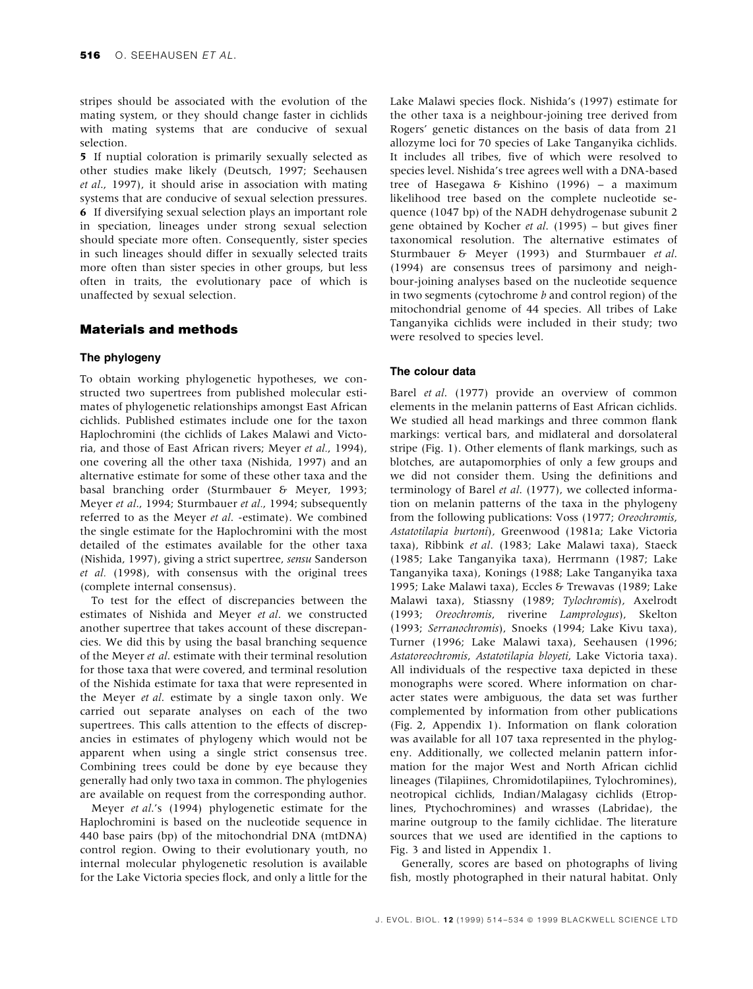stripes should be associated with the evolution of the mating system, or they should change faster in cichlids with mating systems that are conducive of sexual selection.

5 If nuptial coloration is primarily sexually selected as other studies make likely (Deutsch, 1997; Seehausen et al., 1997), it should arise in association with mating systems that are conducive of sexual selection pressures. 6 If diversifying sexual selection plays an important role in speciation, lineages under strong sexual selection should speciate more often. Consequently, sister species in such lineages should differ in sexually selected traits more often than sister species in other groups, but less often in traits, the evolutionary pace of which is unaffected by sexual selection.

# Materials and methods

# The phylogeny

To obtain working phylogenetic hypotheses, we constructed two supertrees from published molecular estimates of phylogenetic relationships amongst East African cichlids. Published estimates include one for the taxon Haplochromini (the cichlids of Lakes Malawi and Victoria, and those of East African rivers; Meyer et al., 1994), one covering all the other taxa (Nishida, 1997) and an alternative estimate for some of these other taxa and the basal branching order (Sturmbauer & Meyer, 1993; Meyer et al., 1994; Sturmbauer et al., 1994; subsequently referred to as the Meyer et al. -estimate). We combined the single estimate for the Haplochromini with the most detailed of the estimates available for the other taxa (Nishida, 1997), giving a strict supertree, sensu Sanderson et al. (1998), with consensus with the original trees (complete internal consensus).

To test for the effect of discrepancies between the estimates of Nishida and Meyer et al. we constructed another supertree that takes account of these discrepancies. We did this by using the basal branching sequence of the Meyer et al. estimate with their terminal resolution for those taxa that were covered, and terminal resolution of the Nishida estimate for taxa that were represented in the Meyer et al. estimate by a single taxon only. We carried out separate analyses on each of the two supertrees. This calls attention to the effects of discrepancies in estimates of phylogeny which would not be apparent when using a single strict consensus tree. Combining trees could be done by eye because they generally had only two taxa in common. The phylogenies are available on request from the corresponding author.

Meyer et al.'s (1994) phylogenetic estimate for the Haplochromini is based on the nucleotide sequence in 440 base pairs (bp) of the mitochondrial DNA (mtDNA) control region. Owing to their evolutionary youth, no internal molecular phylogenetic resolution is available for the Lake Victoria species flock, and only a little for the

Lake Malawi species flock. Nishida's (1997) estimate for the other taxa is a neighbour-joining tree derived from Rogers' genetic distances on the basis of data from 21 allozyme loci for 70 species of Lake Tanganyika cichlids. It includes all tribes, five of which were resolved to species level. Nishida's tree agrees well with a DNA-based tree of Hasegawa & Kishino (1996) - a maximum likelihood tree based on the complete nucleotide sequence (1047 bp) of the NADH dehydrogenase subunit 2 gene obtained by Kocher *et al.* (1995)  $-$  but gives finer taxonomical resolution. The alternative estimates of Sturmbauer & Meyer (1993) and Sturmbauer et al. (1994) are consensus trees of parsimony and neighbour-joining analyses based on the nucleotide sequence in two segments (cytochrome b and control region) of the mitochondrial genome of 44 species. All tribes of Lake Tanganyika cichlids were included in their study; two were resolved to species level.

# The colour data

Barel et al. (1977) provide an overview of common elements in the melanin patterns of East African cichlids. We studied all head markings and three common flank markings: vertical bars, and midlateral and dorsolateral stripe (Fig. 1). Other elements of flank markings, such as blotches, are autapomorphies of only a few groups and we did not consider them. Using the definitions and terminology of Barel et al. (1977), we collected information on melanin patterns of the taxa in the phylogeny from the following publications: Voss (1977; Oreochromis, Astatotilapia burtoni), Greenwood (1981a; Lake Victoria taxa), Ribbink et al. (1983; Lake Malawi taxa), Staeck (1985; Lake Tanganyika taxa), Herrmann (1987; Lake Tanganyika taxa), Konings (1988; Lake Tanganyika taxa 1995; Lake Malawi taxa), Eccles & Trewavas (1989; Lake Malawi taxa), Stiassny (1989; Tylochromis), Axelrodt (1993; Oreochromis, riverine Lamprologus), Skelton (1993; Serranochromis), Snoeks (1994; Lake Kivu taxa), Turner (1996; Lake Malawi taxa), Seehausen (1996; Astatoreochromis, Astatotilapia bloyeti, Lake Victoria taxa). All individuals of the respective taxa depicted in these monographs were scored. Where information on character states were ambiguous, the data set was further complemented by information from other publications (Fig. 2, Appendix 1). Information on flank coloration was available for all 107 taxa represented in the phylogeny. Additionally, we collected melanin pattern information for the major West and North African cichlid lineages (Tilapiines, Chromidotilapiines, Tylochromines), neotropical cichlids, Indian/Malagasy cichlids (Etroplines, Ptychochromines) and wrasses (Labridae), the marine outgroup to the family cichlidae. The literature sources that we used are identified in the captions to Fig. 3 and listed in Appendix 1.

Generally, scores are based on photographs of living fish, mostly photographed in their natural habitat. Only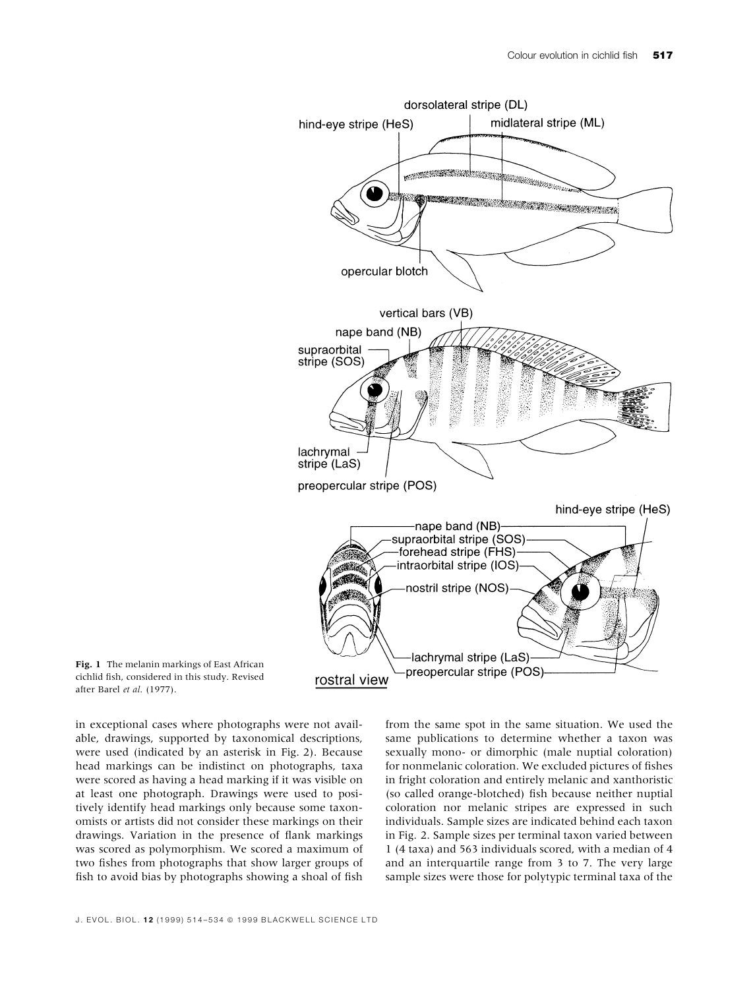



in exceptional cases where photographs were not available, drawings, supported by taxonomical descriptions, were used (indicated by an asterisk in Fig. 2). Because head markings can be indistinct on photographs, taxa were scored as having a head marking if it was visible on at least one photograph. Drawings were used to positively identify head markings only because some taxonomists or artists did not consider these markings on their drawings. Variation in the presence of flank markings was scored as polymorphism. We scored a maximum of two fishes from photographs that show larger groups of fish to avoid bias by photographs showing a shoal of fish

from the same spot in the same situation. We used the same publications to determine whether a taxon was sexually mono- or dimorphic (male nuptial coloration) for nonmelanic coloration. We excluded pictures of fishes in fright coloration and entirely melanic and xanthoristic (so called orange-blotched) fish because neither nuptial coloration nor melanic stripes are expressed in such individuals. Sample sizes are indicated behind each taxon in Fig. 2. Sample sizes per terminal taxon varied between 1 (4 taxa) and 563 individuals scored, with a median of 4 and an interquartile range from 3 to 7. The very large sample sizes were those for polytypic terminal taxa of the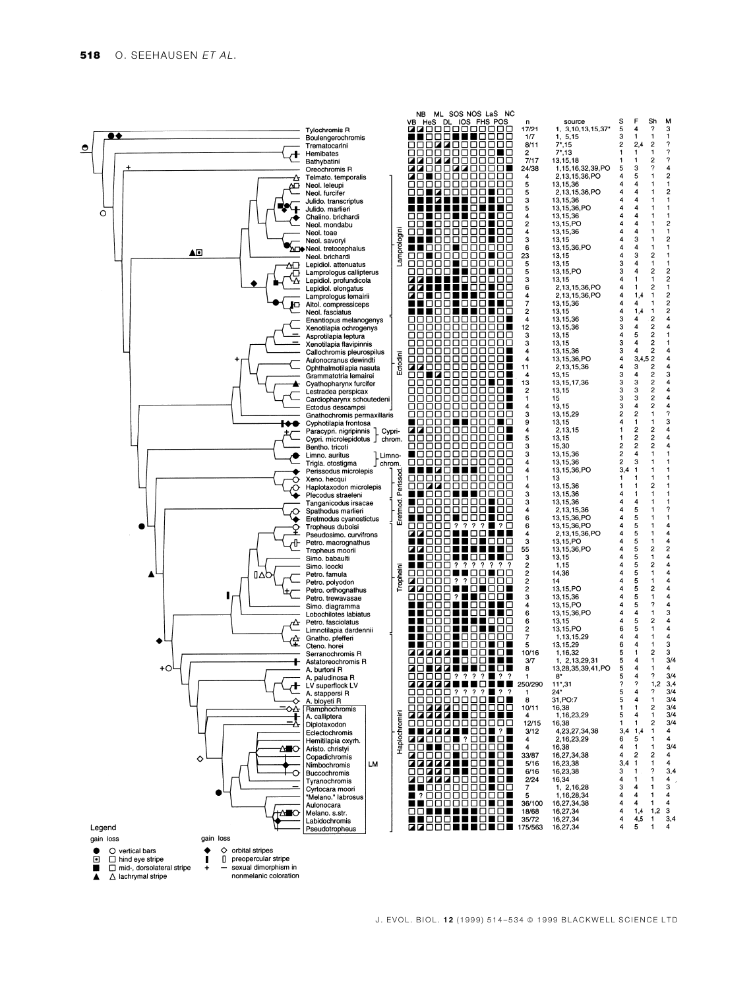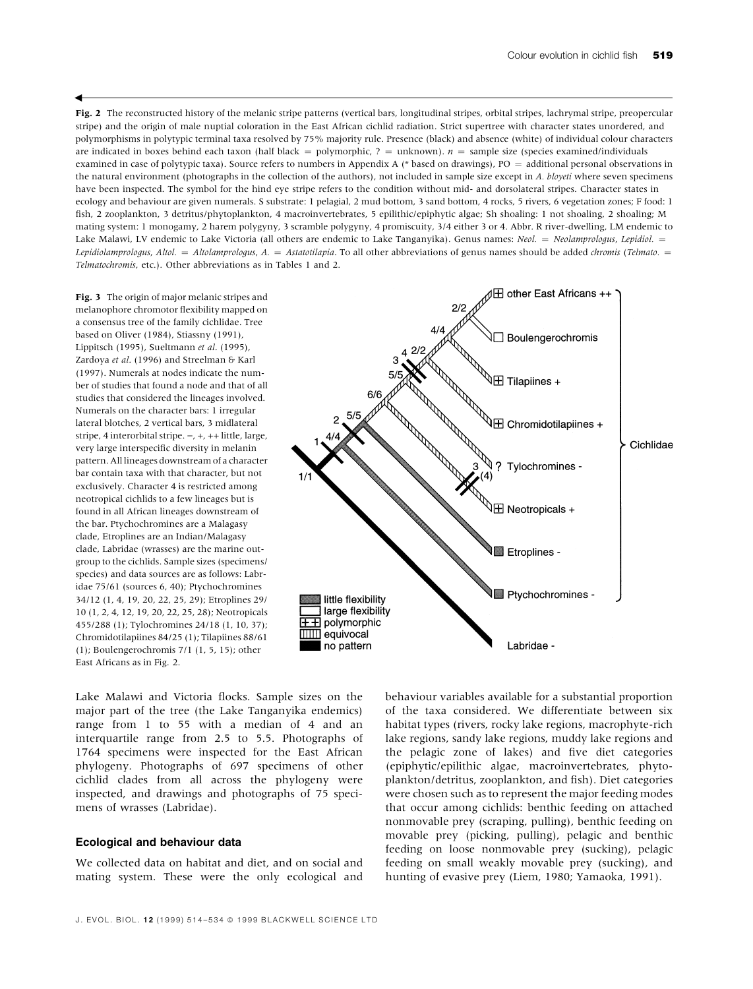Fig. 2 The reconstructed history of the melanic stripe patterns (vertical bars, longitudinal stripes, orbital stripes, lachrymal stripe, preopercular stripe) and the origin of male nuptial coloration in the East African cichlid radiation. Strict supertree with character states unordered, and polymorphisms in polytypic terminal taxa resolved by 75% majority rule. Presence (black) and absence (white) of individual colour characters are indicated in boxes behind each taxon (half black = polymorphic, ? = unknown).  $n =$  sample size (species examined/individuals examined in case of polytypic taxa). Source refers to numbers in Appendix A (\* based on drawings), PO = additional personal observations in the natural environment (photographs in the collection of the authors), not included in sample size except in A. bloyeti where seven specimens have been inspected. The symbol for the hind eye stripe refers to the condition without mid- and dorsolateral stripes. Character states in ecology and behaviour are given numerals. S substrate: 1 pelagial, 2 mud bottom, 3 sand bottom, 4 rocks, 5 rivers, 6 vegetation zones; F food: 1 fish, 2 zooplankton, 3 detritus/phytoplankton, 4 macroinvertebrates, 5 epilithic/epiphytic algae; Sh shoaling: 1 not shoaling, 2 shoaling; M mating system: 1 monogamy, 2 harem polygyny, 3 scramble polygyny, 4 promiscuity, 3/4 either 3 or 4. Abbr. R river-dwelling, LM endemic to Lake Malawi, LV endemic to Lake Victoria (all others are endemic to Lake Tanganyika). Genus names: Neol. = Neolamprologus, Lepidiol. = Lepidiolamprologus, Altol. = Altolamprologus, A. = Astatotilapia. To all other abbreviations of genus names should be added chromis (Telmato. = Telmatochromis, etc.). Other abbreviations as in Tables 1 and 2.

Fig. 3 The origin of major melanic stripes and melanophore chromotor flexibility mapped on a consensus tree of the family cichlidae. Tree based on Oliver (1984), Stiassny (1991), Lippitsch (1995), Sueltmann et al. (1995), Zardoya et al. (1996) and Streelman & Karl (1997). Numerals at nodes indicate the number of studies that found a node and that of all studies that considered the lineages involved. Numerals on the character bars: 1 irregular lateral blotches, 2 vertical bars, 3 midlateral stripe, 4 interorbital stripe.  $-$ ,  $+$ ,  $++$  little, large, very large interspecific diversity in melanin pattern. All lineages downstream of a character bar contain taxa with that character, but not exclusively. Character 4 is restricted among neotropical cichlids to a few lineages but is found in all African lineages downstream of the bar. Ptychochromines are a Malagasy clade, Etroplines are an Indian/Malagasy clade, Labridae (wrasses) are the marine outgroup to the cichlids. Sample sizes (specimens/ species) and data sources are as follows: Labridae 75/61 (sources 6, 40); Ptychochromines 34/12 (1, 4, 19, 20, 22, 25, 29); Etroplines 29/ 10 (1, 2, 4, 12, 19, 20, 22, 25, 28); Neotropicals 455/288 (1); Tylochromines 24/18 (1, 10, 37); Chromidotilapiines 84/25 (1); Tilapiines 88/61 (1); Boulengerochromis 7/1 (1, 5, 15); other East Africans as in Fig. 2.

 $\blacktriangleleft$ 



Lake Malawi and Victoria flocks. Sample sizes on the major part of the tree (the Lake Tanganyika endemics) range from 1 to 55 with a median of 4 and an interquartile range from 2.5 to 5.5. Photographs of 1764 specimens were inspected for the East African phylogeny. Photographs of 697 specimens of other cichlid clades from all across the phylogeny were inspected, and drawings and photographs of 75 specimens of wrasses (Labridae).

#### Ecological and behaviour data

We collected data on habitat and diet, and on social and mating system. These were the only ecological and behaviour variables available for a substantial proportion of the taxa considered. We differentiate between six habitat types (rivers, rocky lake regions, macrophyte-rich lake regions, sandy lake regions, muddy lake regions and the pelagic zone of lakes) and five diet categories (epiphytic/epilithic algae, macroinvertebrates, phytoplankton/detritus, zooplankton, and fish). Diet categories were chosen such as to represent the major feeding modes that occur among cichlids: benthic feeding on attached nonmovable prey (scraping, pulling), benthic feeding on movable prey (picking, pulling), pelagic and benthic feeding on loose nonmovable prey (sucking), pelagic feeding on small weakly movable prey (sucking), and hunting of evasive prey (Liem, 1980; Yamaoka, 1991).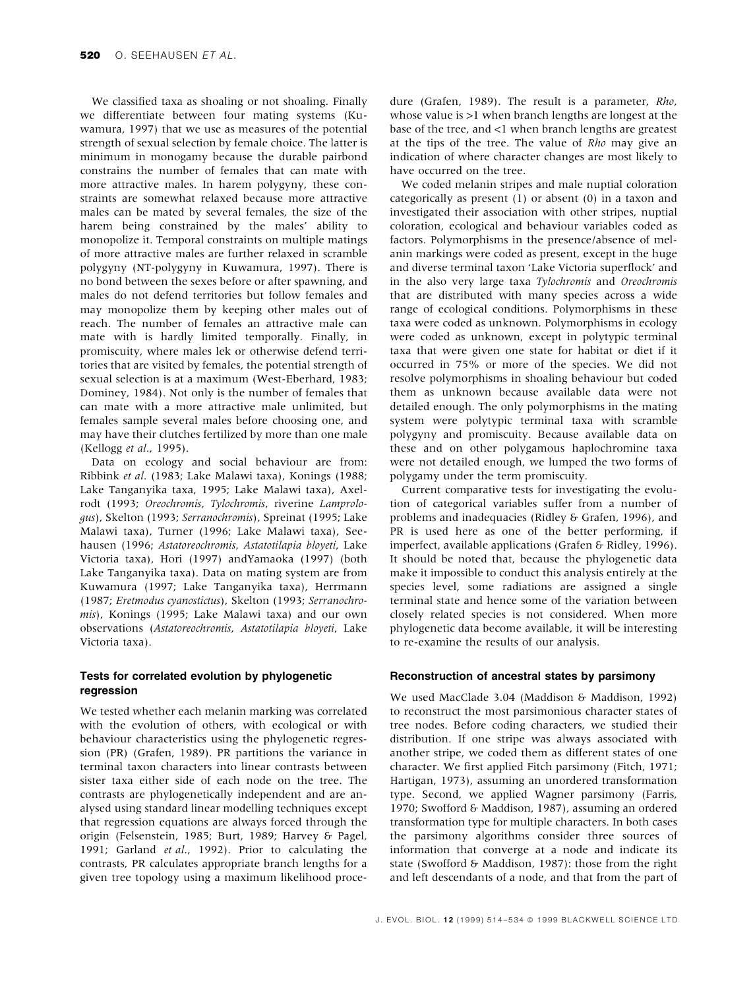We classified taxa as shoaling or not shoaling. Finally we differentiate between four mating systems (Kuwamura, 1997) that we use as measures of the potential strength of sexual selection by female choice. The latter is minimum in monogamy because the durable pairbond constrains the number of females that can mate with more attractive males. In harem polygyny, these constraints are somewhat relaxed because more attractive males can be mated by several females, the size of the harem being constrained by the males' ability to monopolize it. Temporal constraints on multiple matings of more attractive males are further relaxed in scramble polygyny (NT-polygyny in Kuwamura, 1997). There is no bond between the sexes before or after spawning, and males do not defend territories but follow females and may monopolize them by keeping other males out of reach. The number of females an attractive male can mate with is hardly limited temporally. Finally, in promiscuity, where males lek or otherwise defend territories that are visited by females, the potential strength of sexual selection is at a maximum (West-Eberhard, 1983; Dominey, 1984). Not only is the number of females that can mate with a more attractive male unlimited, but females sample several males before choosing one, and may have their clutches fertilized by more than one male (Kellogg et al., 1995).

Data on ecology and social behaviour are from: Ribbink et al. (1983; Lake Malawi taxa), Konings (1988; Lake Tanganyika taxa, 1995; Lake Malawi taxa), Axelrodt (1993; Oreochromis, Tylochromis, riverine Lamprologus), Skelton (1993; Serranochromis), Spreinat (1995; Lake Malawi taxa), Turner (1996; Lake Malawi taxa), Seehausen (1996; Astatoreochromis, Astatotilapia bloyeti, Lake Victoria taxa), Hori (1997) andYamaoka (1997) (both Lake Tanganyika taxa). Data on mating system are from Kuwamura (1997; Lake Tanganyika taxa), Herrmann (1987; Eretmodus cyanostictus), Skelton (1993; Serranochromis), Konings (1995; Lake Malawi taxa) and our own observations (Astatoreochromis, Astatotilapia bloyeti, Lake Victoria taxa).

# Tests for correlated evolution by phylogenetic regression

We tested whether each melanin marking was correlated with the evolution of others, with ecological or with behaviour characteristics using the phylogenetic regression (PR) (Grafen, 1989). PR partitions the variance in terminal taxon characters into linear contrasts between sister taxa either side of each node on the tree. The contrasts are phylogenetically independent and are analysed using standard linear modelling techniques except that regression equations are always forced through the origin (Felsenstein, 1985; Burt, 1989; Harvey & Pagel, 1991; Garland et al., 1992). Prior to calculating the contrasts, PR calculates appropriate branch lengths for a given tree topology using a maximum likelihood proce-

dure (Grafen, 1989). The result is a parameter, Rho, whose value is >1 when branch lengths are longest at the base of the tree, and <1 when branch lengths are greatest at the tips of the tree. The value of Rho may give an indication of where character changes are most likely to have occurred on the tree.

We coded melanin stripes and male nuptial coloration categorically as present (1) or absent (0) in a taxon and investigated their association with other stripes, nuptial coloration, ecological and behaviour variables coded as factors. Polymorphisms in the presence/absence of melanin markings were coded as present, except in the huge and diverse terminal taxon 'Lake Victoria superflock' and in the also very large taxa Tylochromis and Oreochromis that are distributed with many species across a wide range of ecological conditions. Polymorphisms in these taxa were coded as unknown. Polymorphisms in ecology were coded as unknown, except in polytypic terminal taxa that were given one state for habitat or diet if it occurred in 75% or more of the species. We did not resolve polymorphisms in shoaling behaviour but coded them as unknown because available data were not detailed enough. The only polymorphisms in the mating system were polytypic terminal taxa with scramble polygyny and promiscuity. Because available data on these and on other polygamous haplochromine taxa were not detailed enough, we lumped the two forms of polygamy under the term promiscuity.

Current comparative tests for investigating the evolution of categorical variables suffer from a number of problems and inadequacies (Ridley & Grafen, 1996), and PR is used here as one of the better performing, if imperfect, available applications (Grafen & Ridley, 1996). It should be noted that, because the phylogenetic data make it impossible to conduct this analysis entirely at the species level, some radiations are assigned a single terminal state and hence some of the variation between closely related species is not considered. When more phylogenetic data become available, it will be interesting to re-examine the results of our analysis.

# Reconstruction of ancestral states by parsimony

We used MacClade 3.04 (Maddison & Maddison, 1992) to reconstruct the most parsimonious character states of tree nodes. Before coding characters, we studied their distribution. If one stripe was always associated with another stripe, we coded them as different states of one character. We first applied Fitch parsimony (Fitch, 1971; Hartigan, 1973), assuming an unordered transformation type. Second, we applied Wagner parsimony (Farris, 1970; Swofford & Maddison, 1987), assuming an ordered transformation type for multiple characters. In both cases the parsimony algorithms consider three sources of information that converge at a node and indicate its state (Swofford & Maddison, 1987): those from the right and left descendants of a node, and that from the part of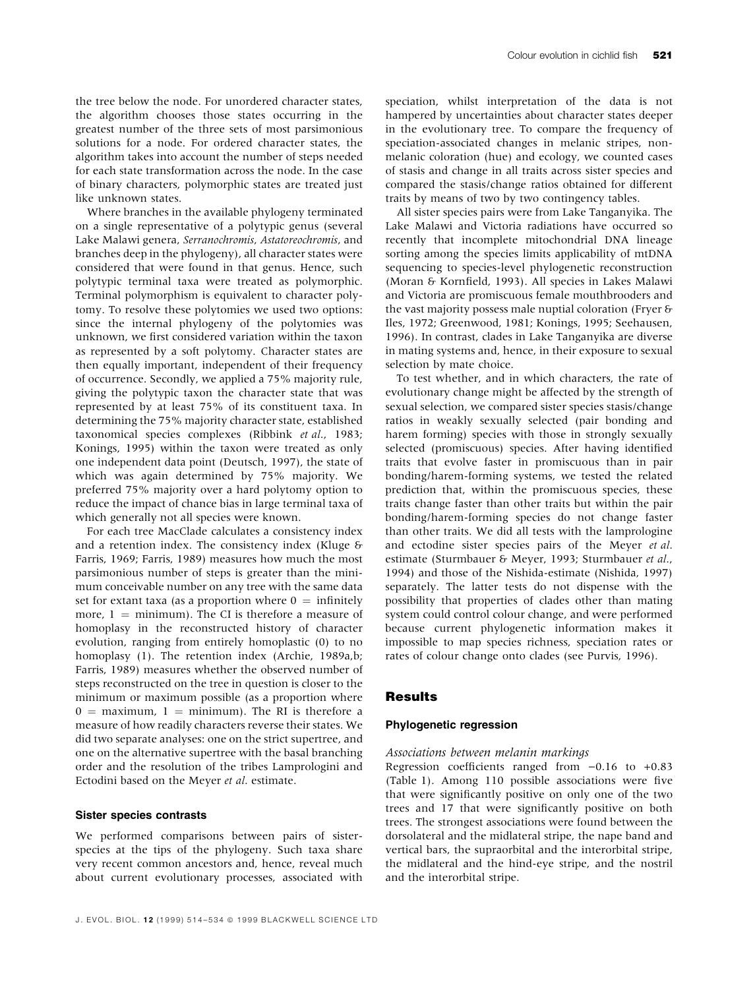the tree below the node. For unordered character states, the algorithm chooses those states occurring in the greatest number of the three sets of most parsimonious solutions for a node. For ordered character states, the algorithm takes into account the number of steps needed for each state transformation across the node. In the case of binary characters, polymorphic states are treated just like unknown states.

Where branches in the available phylogeny terminated on a single representative of a polytypic genus (several Lake Malawi genera, Serranochromis, Astatoreochromis, and branches deep in the phylogeny), all character states were considered that were found in that genus. Hence, such polytypic terminal taxa were treated as polymorphic. Terminal polymorphism is equivalent to character polytomy. To resolve these polytomies we used two options: since the internal phylogeny of the polytomies was unknown, we first considered variation within the taxon as represented by a soft polytomy. Character states are then equally important, independent of their frequency of occurrence. Secondly, we applied a 75% majority rule, giving the polytypic taxon the character state that was represented by at least 75% of its constituent taxa. In determining the 75% majority character state, established taxonomical species complexes (Ribbink et al., 1983; Konings, 1995) within the taxon were treated as only one independent data point (Deutsch, 1997), the state of which was again determined by 75% majority. We preferred 75% majority over a hard polytomy option to reduce the impact of chance bias in large terminal taxa of which generally not all species were known.

For each tree MacClade calculates a consistency index and a retention index. The consistency index (Kluge & Farris, 1969; Farris, 1989) measures how much the most parsimonious number of steps is greater than the minimum conceivable number on any tree with the same data set for extant taxa (as a proportion where  $0 = infinitely$ more,  $1 = \text{minimum}$ . The CI is therefore a measure of homoplasy in the reconstructed history of character evolution, ranging from entirely homoplastic (0) to no homoplasy (1). The retention index (Archie, 1989a,b; Farris, 1989) measures whether the observed number of steps reconstructed on the tree in question is closer to the minimum or maximum possible (as a proportion where  $0 =$  maximum,  $1 =$  minimum). The RI is therefore a measure of how readily characters reverse their states. We did two separate analyses: one on the strict supertree, and one on the alternative supertree with the basal branching order and the resolution of the tribes Lamprologini and Ectodini based on the Meyer et al. estimate.

#### Sister species contrasts

We performed comparisons between pairs of sisterspecies at the tips of the phylogeny. Such taxa share very recent common ancestors and, hence, reveal much about current evolutionary processes, associated with

speciation, whilst interpretation of the data is not hampered by uncertainties about character states deeper in the evolutionary tree. To compare the frequency of speciation-associated changes in melanic stripes, nonmelanic coloration (hue) and ecology, we counted cases of stasis and change in all traits across sister species and compared the stasis/change ratios obtained for different traits by means of two by two contingency tables.

All sister species pairs were from Lake Tanganyika. The Lake Malawi and Victoria radiations have occurred so recently that incomplete mitochondrial DNA lineage sorting among the species limits applicability of mtDNA sequencing to species-level phylogenetic reconstruction (Moran & Kornfield, 1993). All species in Lakes Malawi and Victoria are promiscuous female mouthbrooders and the vast majority possess male nuptial coloration (Fryer & Iles, 1972; Greenwood, 1981; Konings, 1995; Seehausen, 1996). In contrast, clades in Lake Tanganyika are diverse in mating systems and, hence, in their exposure to sexual selection by mate choice.

To test whether, and in which characters, the rate of evolutionary change might be affected by the strength of sexual selection, we compared sister species stasis/change ratios in weakly sexually selected (pair bonding and harem forming) species with those in strongly sexually selected (promiscuous) species. After having identified traits that evolve faster in promiscuous than in pair bonding/harem-forming systems, we tested the related prediction that, within the promiscuous species, these traits change faster than other traits but within the pair bonding/harem-forming species do not change faster than other traits. We did all tests with the lamprologine and ectodine sister species pairs of the Meyer et al. estimate (Sturmbauer & Meyer, 1993; Sturmbauer et al., 1994) and those of the Nishida-estimate (Nishida, 1997) separately. The latter tests do not dispense with the possibility that properties of clades other than mating system could control colour change, and were performed because current phylogenetic information makes it impossible to map species richness, speciation rates or rates of colour change onto clades (see Purvis, 1996).

# Results

# Phylogenetic regression

#### Associations between melanin markings

Regression coefficients ranged from  $-0.16$  to  $+0.83$ (Table 1). Among  $110$  possible associations were five that were significantly positive on only one of the two trees and 17 that were significantly positive on both trees. The strongest associations were found between the dorsolateral and the midlateral stripe, the nape band and vertical bars, the supraorbital and the interorbital stripe, the midlateral and the hind-eye stripe, and the nostril and the interorbital stripe.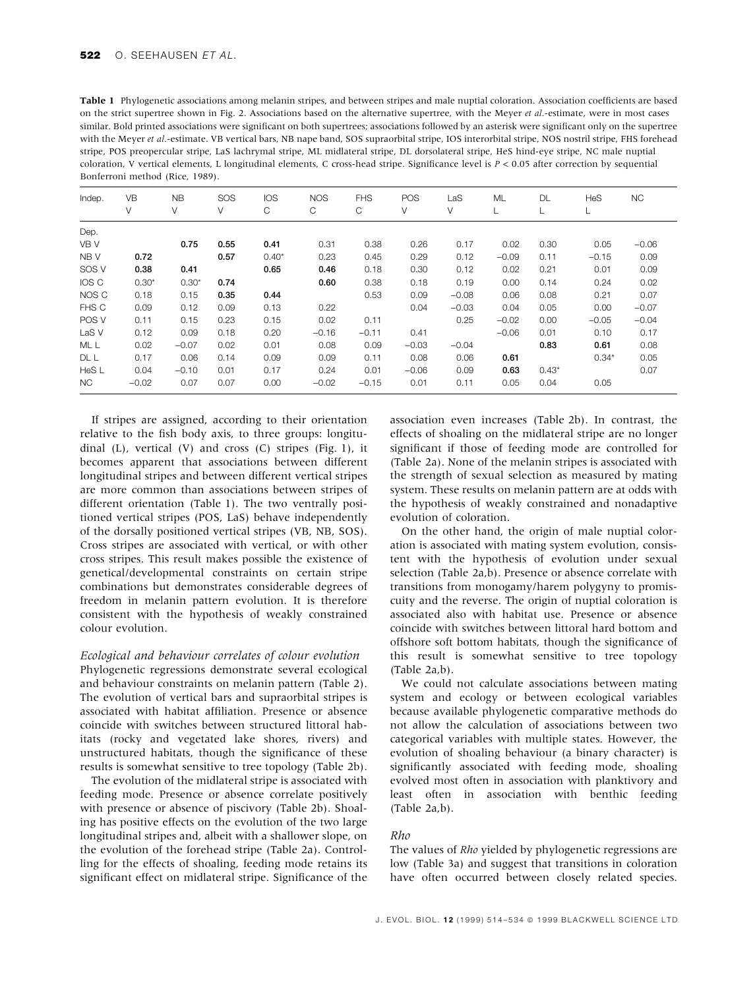| <b>Table 1</b> Phylogenetic associations among melanin stripes, and between stripes and male nuptial coloration. Association coefficients are based |
|-----------------------------------------------------------------------------------------------------------------------------------------------------|
| on the strict supertree shown in Fig. 2. Associations based on the alternative supertree, with the Meyer et al.-estimate, were in most cases        |
| similar. Bold printed associations were significant on both supertrees; associations followed by an asterisk were significant only on the supertree |
| with the Meyer et al.-estimate. VB vertical bars, NB nape band, SOS supraorbital stripe, IOS interorbital stripe, NOS nostril stripe, FHS forehead  |
| stripe, POS preopercular stripe, LaS lachrymal stripe, ML midlateral stripe, DL dorsolateral stripe, HeS hind-eye stripe, NC male nuptial           |
| coloration, V vertical elements, L longitudinal elements, C cross-head stripe. Significance level is $P < 0.05$ after correction by sequential      |
| Bonferroni method (Rice, 1989).                                                                                                                     |

| Indep.           | VB      | <b>NB</b> | SOS  | <b>IOS</b> | <b>NOS</b> | <b>FHS</b> | POS     | LaS     | ML      | DL      | HeS     | <b>NC</b> |
|------------------|---------|-----------|------|------------|------------|------------|---------|---------|---------|---------|---------|-----------|
|                  | V       | V         | V    | С          | C          | C          | V       | V       |         | L       | L       |           |
| Dep.             |         |           |      |            |            |            |         |         |         |         |         |           |
| VB V             |         | 0.75      | 0.55 | 0.41       | 0.31       | 0.38       | 0.26    | 0.17    | 0.02    | 0.30    | 0.05    | $-0.06$   |
| NB V             | 0.72    |           | 0.57 | $0.40*$    | 0.23       | 0.45       | 0.29    | 0.12    | $-0.09$ | 0.11    | $-0.15$ | 0.09      |
| SOS V            | 0.38    | 0.41      |      | 0.65       | 0.46       | 0.18       | 0.30    | 0.12    | 0.02    | 0.21    | 0.01    | 0.09      |
| IOS C            | $0.30*$ | $0.30*$   | 0.74 |            | 0.60       | 0.38       | 0.18    | 0.19    | 0.00    | 0.14    | 0.24    | 0.02      |
| NOS C            | 0.18    | 0.15      | 0.35 | 0.44       |            | 0.53       | 0.09    | $-0.08$ | 0.06    | 0.08    | 0.21    | 0.07      |
| FHS C            | 0.09    | 0.12      | 0.09 | 0.13       | 0.22       |            | 0.04    | $-0.03$ | 0.04    | 0.05    | 0.00    | $-0.07$   |
| POS V            | 0.11    | 0.15      | 0.23 | 0.15       | 0.02       | 0.11       |         | 0.25    | $-0.02$ | 0.00    | $-0.05$ | $-0.04$   |
| LaS <sub>V</sub> | 0.12    | 0.09      | 0.18 | 0.20       | $-0.16$    | $-0.11$    | 0.41    |         | $-0.06$ | 0.01    | 0.10    | 0.17      |
| ML L             | 0.02    | $-0.07$   | 0.02 | 0.01       | 0.08       | 0.09       | $-0.03$ | $-0.04$ |         | 0.83    | 0.61    | 0.08      |
| DL L             | 0.17    | 0.06      | 0.14 | 0.09       | 0.09       | 0.11       | 0.08    | 0.06    | 0.61    |         | $0.34*$ | 0.05      |
| HeS L            | 0.04    | $-0.10$   | 0.01 | 0.17       | 0.24       | 0.01       | $-0.06$ | 0.09    | 0.63    | $0.43*$ |         | 0.07      |
| NC.              | $-0.02$ | 0.07      | 0.07 | 0.00       | $-0.02$    | $-0.15$    | 0.01    | 0.11    | 0.05    | 0.04    | 0.05    |           |

If stripes are assigned, according to their orientation relative to the fish body axis, to three groups: longitudinal (L), vertical (V) and cross (C) stripes (Fig. 1), it becomes apparent that associations between different longitudinal stripes and between different vertical stripes are more common than associations between stripes of different orientation (Table 1). The two ventrally positioned vertical stripes (POS, LaS) behave independently of the dorsally positioned vertical stripes (VB, NB, SOS). Cross stripes are associated with vertical, or with other cross stripes. This result makes possible the existence of genetical/developmental constraints on certain stripe combinations but demonstrates considerable degrees of freedom in melanin pattern evolution. It is therefore consistent with the hypothesis of weakly constrained colour evolution.

#### Ecological and behaviour correlates of colour evolution

Phylogenetic regressions demonstrate several ecological and behaviour constraints on melanin pattern (Table 2). The evolution of vertical bars and supraorbital stripes is associated with habitat affiliation. Presence or absence coincide with switches between structured littoral habitats (rocky and vegetated lake shores, rivers) and unstructured habitats, though the significance of these results is somewhat sensitive to tree topology (Table 2b).

The evolution of the midlateral stripe is associated with feeding mode. Presence or absence correlate positively with presence or absence of piscivory (Table 2b). Shoaling has positive effects on the evolution of the two large longitudinal stripes and, albeit with a shallower slope, on the evolution of the forehead stripe (Table 2a). Controlling for the effects of shoaling, feeding mode retains its significant effect on midlateral stripe. Significance of the

association even increases (Table 2b). In contrast, the effects of shoaling on the midlateral stripe are no longer significant if those of feeding mode are controlled for (Table 2a). None of the melanin stripes is associated with the strength of sexual selection as measured by mating system. These results on melanin pattern are at odds with the hypothesis of weakly constrained and nonadaptive evolution of coloration.

On the other hand, the origin of male nuptial coloration is associated with mating system evolution, consistent with the hypothesis of evolution under sexual selection (Table 2a,b). Presence or absence correlate with transitions from monogamy/harem polygyny to promiscuity and the reverse. The origin of nuptial coloration is associated also with habitat use. Presence or absence coincide with switches between littoral hard bottom and offshore soft bottom habitats, though the significance of this result is somewhat sensitive to tree topology (Table 2a,b).

We could not calculate associations between mating system and ecology or between ecological variables because available phylogenetic comparative methods do not allow the calculation of associations between two categorical variables with multiple states. However, the evolution of shoaling behaviour (a binary character) is significantly associated with feeding mode, shoaling evolved most often in association with planktivory and least often in association with benthic feeding (Table 2a,b).

# Rho

The values of Rho yielded by phylogenetic regressions are low (Table 3a) and suggest that transitions in coloration have often occurred between closely related species.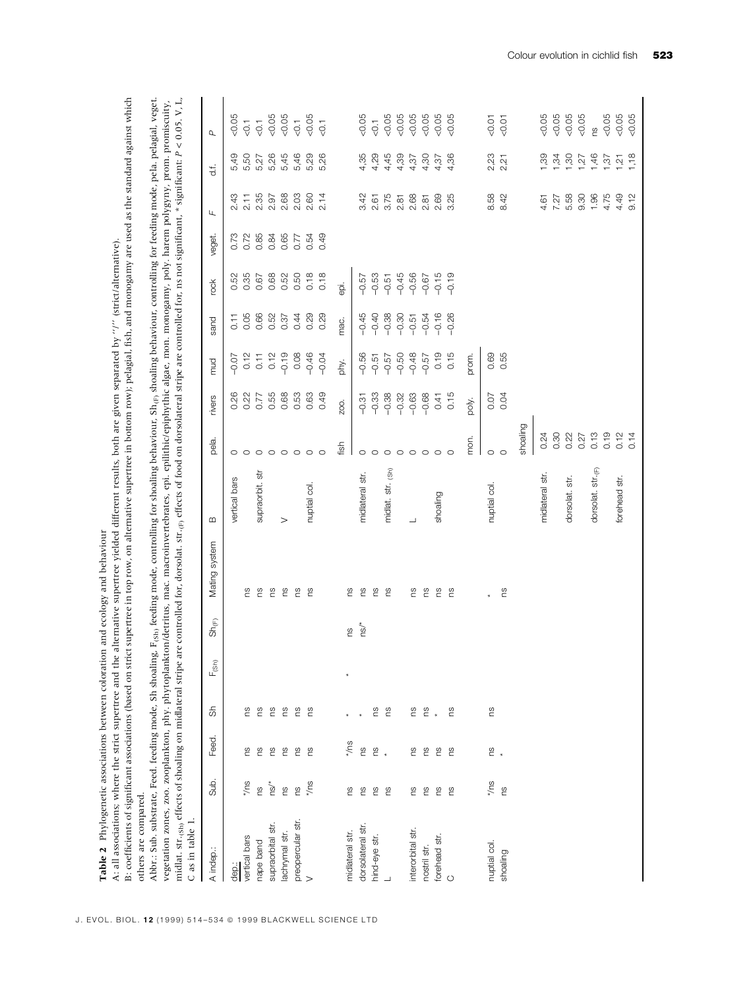| B: coefficients of significant associations (based on st:                                             |              |                          |     |                              |                                    | rict supertree in top row, on alternative supertree in bottom row); pelagial, fish, and monogamy are used as the standard against which<br>A: all associations; where the strict supertree and the alternative supertree yielded different results, both are given separated by "/" (strict/alternative).<br>Table 2 Phylogenetic associations between coloration and ecology and behaviour                                                                                                                                                                                     |                   |                 |                 |         |                |         |        |      |                    |                  |
|-------------------------------------------------------------------------------------------------------|--------------|--------------------------|-----|------------------------------|------------------------------------|---------------------------------------------------------------------------------------------------------------------------------------------------------------------------------------------------------------------------------------------------------------------------------------------------------------------------------------------------------------------------------------------------------------------------------------------------------------------------------------------------------------------------------------------------------------------------------|-------------------|-----------------|-----------------|---------|----------------|---------|--------|------|--------------------|------------------|
| midlat. str.(sh) effects of shoaling on midlateral stripe<br>others are compared.<br>C as in table 1. |              |                          |     |                              |                                    | are controlled for, dorsolat. str. <sub>(fp</sub> effects of food on dorsolateral stripe are controlled for, ns not significant, * significant: P < 0.05. V, L,<br>Abbr.: Sub. substrate, Feed. feeding mode, Sh shoaling, F <sub>(sh)</sub> feeding mode, controlling for shoaling behaviour, Sh <sub>(e)</sub> shoaling behaviour, controlling for feeding mode, pela, pelagial, veget.<br>vegetation zones, zoo. zooplankton, phy. phytoplankton/detritus, mac. macroinvertebrates, epi. epilithic/epiphythic algae, mon. monogamy, poly. harem polygyny, prom. promiscuity, |                   |                 |                 |         |                |         |        |      |                    |                  |
| A indep.:                                                                                             | Sub.         | Feed.                    | र्क | $\mathsf{F}_{\mathsf{(Sh)}}$ | $\operatorname{Sh}_{(\mathsf{F})}$ | Mating system                                                                                                                                                                                                                                                                                                                                                                                                                                                                                                                                                                   | $\infty$          | pela.           | rivers          | mud     | sand           | rook    | veget. | Щ    | $\frac{1}{\sigma}$ | $\sigma$         |
| dep.:                                                                                                 |              |                          |     |                              |                                    |                                                                                                                                                                                                                                                                                                                                                                                                                                                                                                                                                                                 | vertical bars     |                 | 0.26            | $-0.07$ | $\overline{C}$ | 0.52    | 0.73   | 2.43 | 5,49               | 0.05             |
| vertical bars                                                                                         | $z/\sqrt{3}$ | ۴.                       | ٤.  |                              |                                    | ۴,                                                                                                                                                                                                                                                                                                                                                                                                                                                                                                                                                                              |                   | $\circ$ $\circ$ | 0.22            | 0.12    | 0.05           | 0.35    | 0.72   | 2.11 | 5,50               | $-0.1$           |
| nape band                                                                                             | <u>re</u>    | β°                       | es  |                              |                                    | es                                                                                                                                                                                                                                                                                                                                                                                                                                                                                                                                                                              | supraorbit. str   | $\circ$         | 0.77            | 0.11    | 0.66           | 0.67    | 0.85   | 2.35 | 5,27               | $\overline{0}$ . |
| supraorbital str.                                                                                     | ns/*         | ΓS                       | es  |                              |                                    | es                                                                                                                                                                                                                                                                                                                                                                                                                                                                                                                                                                              |                   | $\circ$         | 0.55            | 0.12    | 0.52           | 0.68    | 0.84   | 2.97 | 5,26               | &0.05            |
| lachrymal str.                                                                                        | S)           | 2C                       | es  |                              |                                    | ΓS                                                                                                                                                                                                                                                                                                                                                                                                                                                                                                                                                                              | $\rm{~}$          | $\circ$ $\circ$ | 0.68            | $-0.19$ | 0.37           | 0.52    | 0.65   | 2.68 | 5,45               | 0.05             |
| preopercular str.                                                                                     | g            | ۴S                       | ۴S  |                              |                                    | eq                                                                                                                                                                                                                                                                                                                                                                                                                                                                                                                                                                              |                   |                 | 0.53            | 0.08    | 0.44           | 0.50    | 0.77   | 2.03 | 5,46               | $\overline{0}$ . |
| $\geq$                                                                                                | $*$ /ns      | es                       | °S  |                              |                                    | β°                                                                                                                                                                                                                                                                                                                                                                                                                                                                                                                                                                              | nuptial col.      | $\circ$         | 0.63            | $-0.46$ | 0.29           | 0.18    | 0.54   | 2.60 | 5,29               | 0.05             |
|                                                                                                       |              |                          |     |                              |                                    |                                                                                                                                                                                                                                                                                                                                                                                                                                                                                                                                                                                 |                   | $\circ$         | 0.49            | $-0.04$ | 0.29           | 0.18    | 0.49   | 2.14 | 5,26               | $\overline{0}$   |
| midlateral str.                                                                                       | 8ù           | */ns                     |     |                              | SU                                 | SU.                                                                                                                                                                                                                                                                                                                                                                                                                                                                                                                                                                             |                   | fish            | ZO <sub>O</sub> | phy.    | mac.           | ai.     |        |      |                    |                  |
| dorsolateral str.                                                                                     | <u>၉</u>     | SU <sub>1</sub>          |     |                              | ns/*                               | eq                                                                                                                                                                                                                                                                                                                                                                                                                                                                                                                                                                              | midlateral str.   | $\circ$         | $-0.31$         | $-0.56$ | $-0.45$        | $-0.57$ |        | 3.42 | 4,35               | 0.05             |
| hind-eye str.                                                                                         |              |                          |     |                              |                                    | es                                                                                                                                                                                                                                                                                                                                                                                                                                                                                                                                                                              |                   | $\circ$         | $-0.33$         | $-0.51$ | $-0.40$        | $-0.53$ |        | 2.61 | 4,29               | $\overline{0}$ . |
|                                                                                                       | e e          | $\overset{\circ}{E}$ $*$ | e e |                              |                                    | es                                                                                                                                                                                                                                                                                                                                                                                                                                                                                                                                                                              | midlat. str. (Sh) | $\circ$         | $-0.38$         | $-0.57$ | $-0.38$        | $-0.51$ |        | 3.75 | 4,45               | &0.05            |
|                                                                                                       |              |                          |     |                              |                                    |                                                                                                                                                                                                                                                                                                                                                                                                                                                                                                                                                                                 |                   | $\circ$         | $-0.32$         | $-0.50$ | $-0.30$        | $-0.45$ |        | 2.81 | 4,39               | &0.05            |
| interorbital str.                                                                                     | SU           | SU.                      |     |                              |                                    | SU.                                                                                                                                                                                                                                                                                                                                                                                                                                                                                                                                                                             | ┙                 | $\circ$         | $-0.63$         | $-0.48$ | $-0.51$        | $-0.56$ |        | 2.68 | 4,37               | &0.05            |
| nostril str.                                                                                          |              | ٤.                       | 28  |                              |                                    | es                                                                                                                                                                                                                                                                                                                                                                                                                                                                                                                                                                              |                   |                 | $-0.68$         | $-0.57$ | $-0.54$        | $-0.67$ |        | 2.81 | 4,30               | &0.05            |
| forehead str.                                                                                         | ី ន          | Γg                       |     |                              |                                    | ΓS                                                                                                                                                                                                                                                                                                                                                                                                                                                                                                                                                                              | shoaling          | $\circ$ $\circ$ | 0.41            | 0.19    | $-0.16$        | $-0.15$ |        | 2.69 | 4,37               | &0.05            |
| $\circ$                                                                                               | es           | es                       | eu  |                              |                                    | ΓS                                                                                                                                                                                                                                                                                                                                                                                                                                                                                                                                                                              |                   | $\circ$         | 0.15            | 0.15    | $-0.26$        | $-0.19$ |        | 3.25 | 4,36               | &0.05            |
|                                                                                                       |              |                          |     |                              |                                    |                                                                                                                                                                                                                                                                                                                                                                                                                                                                                                                                                                                 |                   | mon.            | poly.           | prom.   |                |         |        |      |                    |                  |
| nuptial col.                                                                                          | $z\cup$      | $\frac{8}{2}$            | ΓS  |                              |                                    |                                                                                                                                                                                                                                                                                                                                                                                                                                                                                                                                                                                 | nuptial col.      | $\circ$         | 0.07            | 0.69    |                |         |        | 8.58 | 2,23               | 50.07            |
| shoaling                                                                                              | <u>ဗ</u>     |                          |     |                              |                                    | ng                                                                                                                                                                                                                                                                                                                                                                                                                                                                                                                                                                              |                   | $\circ$         | 0.04            | 0.55    |                |         |        | 8.42 | 2,21               | &0.07            |
|                                                                                                       |              |                          |     |                              |                                    |                                                                                                                                                                                                                                                                                                                                                                                                                                                                                                                                                                                 |                   | shoaling        |                 |         |                |         |        |      |                    |                  |
|                                                                                                       |              |                          |     |                              |                                    |                                                                                                                                                                                                                                                                                                                                                                                                                                                                                                                                                                                 | midlateral str.   | 0.24            |                 |         |                |         |        | 4.61 | 1,39               | 0.05             |
|                                                                                                       |              |                          |     |                              |                                    |                                                                                                                                                                                                                                                                                                                                                                                                                                                                                                                                                                                 |                   | 0.30            |                 |         |                |         |        | 7.27 | 1,34               | &0.05            |
|                                                                                                       |              |                          |     |                              |                                    |                                                                                                                                                                                                                                                                                                                                                                                                                                                                                                                                                                                 | dorsolat. str.    | 0.22            |                 |         |                |         |        | 5.58 | 1,30               | &0.05            |
|                                                                                                       |              |                          |     |                              |                                    |                                                                                                                                                                                                                                                                                                                                                                                                                                                                                                                                                                                 |                   | 0.27            |                 |         |                |         |        | 9.30 | 1,27               | 0.05             |
|                                                                                                       |              |                          |     |                              |                                    |                                                                                                                                                                                                                                                                                                                                                                                                                                                                                                                                                                                 | dorsolat. str.(F) | 0.13            |                 |         |                |         |        | 1.96 | 1,46               | rs               |
|                                                                                                       |              |                          |     |                              |                                    |                                                                                                                                                                                                                                                                                                                                                                                                                                                                                                                                                                                 |                   | 0.19            |                 |         |                |         |        | 4.75 | 1,37               | 0.05             |
|                                                                                                       |              |                          |     |                              |                                    |                                                                                                                                                                                                                                                                                                                                                                                                                                                                                                                                                                                 | forehead str.     | 0.12            |                 |         |                |         |        | 4.49 | 1,21               | 0.05             |
|                                                                                                       |              |                          |     |                              |                                    |                                                                                                                                                                                                                                                                                                                                                                                                                                                                                                                                                                                 |                   | 0.14            |                 |         |                |         |        | 9.12 | 1,18               | &0.05            |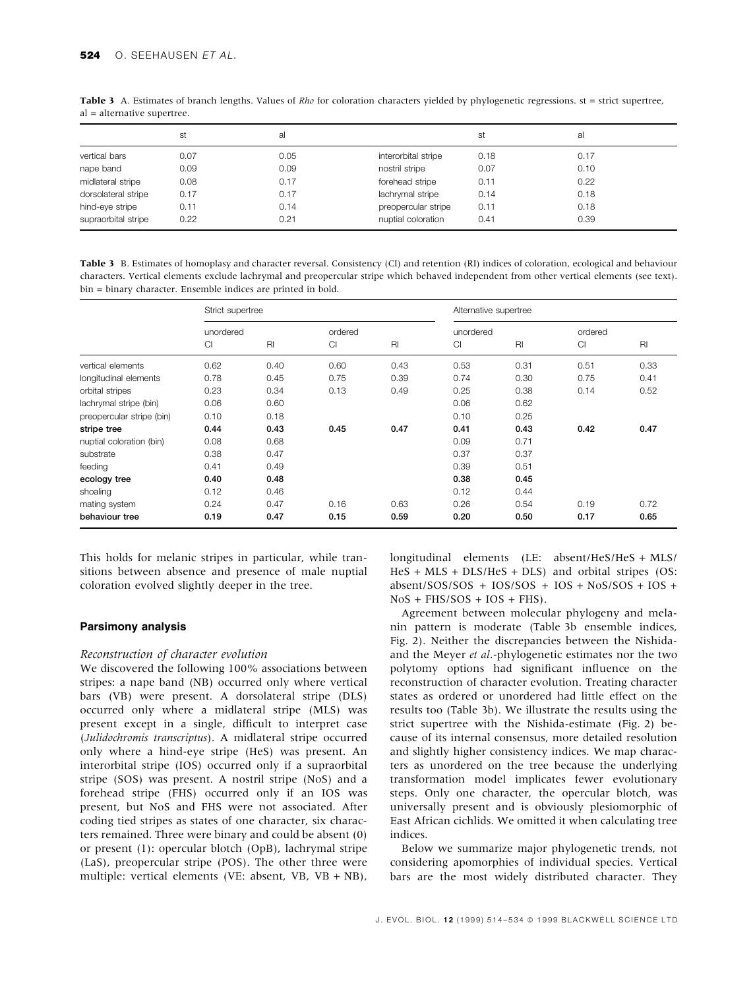|                     | st   | al   |                     | st   | al   |
|---------------------|------|------|---------------------|------|------|
| vertical bars       | 0.07 | 0.05 | interorbital stripe | 0.18 | 0.17 |
| nape band           | 0.09 | 0.09 | nostril stripe      | 0.07 | 0.10 |
| midlateral stripe   | 0.08 | 0.17 | forehead stripe     | 0.11 | 0.22 |
| dorsolateral stripe | 0.17 | 0.17 | lachrymal stripe    | 0.14 | 0.18 |
| hind-eye stripe     | 0.11 | 0.14 | preopercular stripe | 0.11 | 0.18 |
| supraorbital stripe | 0.22 | 0.21 | nuptial coloration  | 0.41 | 0.39 |

Table 3 A. Estimates of branch lengths. Values of  $Rho$  for coloration characters yielded by phylogenetic regressions. st = strict supertree, al = alternative supertree.

Table 3 B. Estimates of homoplasy and character reversal. Consistency (CI) and retention (RI) indices of coloration, ecological and behaviour characters. Vertical elements exclude lachrymal and preopercular stripe which behaved independent from other vertical elements (see text). bin = binary character. Ensemble indices are printed in bold.

|                           | Strict supertree |      |           |      |           | Alternative supertree |         |      |
|---------------------------|------------------|------|-----------|------|-----------|-----------------------|---------|------|
|                           | unordered        |      | ordered   |      | unordered |                       | ordered |      |
|                           | Cl               | RI   | <b>CI</b> | RI   | Cl        | $R_{\parallel}$       | CI      | RI   |
| vertical elements         | 0.62             | 0.40 | 0.60      | 0.43 | 0.53      | 0.31                  | 0.51    | 0.33 |
| longitudinal elements     | 0.78             | 0.45 | 0.75      | 0.39 | 0.74      | 0.30                  | 0.75    | 0.41 |
| orbital stripes           | 0.23             | 0.34 | 0.13      | 0.49 | 0.25      | 0.38                  | 0.14    | 0.52 |
| lachrymal stripe (bin)    | 0.06             | 0.60 |           |      | 0.06      | 0.62                  |         |      |
| preopercular stripe (bin) | 0.10             | 0.18 |           |      | 0.10      | 0.25                  |         |      |
| stripe tree               | 0.44             | 0.43 | 0.45      | 0.47 | 0.41      | 0.43                  | 0.42    | 0.47 |
| nuptial coloration (bin)  | 0.08             | 0.68 |           |      | 0.09      | 0.71                  |         |      |
| substrate                 | 0.38             | 0.47 |           |      | 0.37      | 0.37                  |         |      |
| feeding                   | 0.41             | 0.49 |           |      | 0.39      | 0.51                  |         |      |
| ecology tree              | 0.40             | 0.48 |           |      | 0.38      | 0.45                  |         |      |
| shoaling                  | 0.12             | 0.46 |           |      | 0.12      | 0.44                  |         |      |
| mating system             | 0.24             | 0.47 | 0.16      | 0.63 | 0.26      | 0.54                  | 0.19    | 0.72 |
| behaviour tree            | 0.19             | 0.47 | 0.15      | 0.59 | 0.20      | 0.50                  | 0.17    | 0.65 |

This holds for melanic stripes in particular, while transitions between absence and presence of male nuptial coloration evolved slightly deeper in the tree.

# Parsimony analysis

### Reconstruction of character evolution

We discovered the following 100% associations between stripes: a nape band (NB) occurred only where vertical bars (VB) were present. A dorsolateral stripe (DLS) occurred only where a midlateral stripe (MLS) was present except in a single, difficult to interpret case (Julidochromis transcriptus). A midlateral stripe occurred only where a hind-eye stripe (HeS) was present. An interorbital stripe (IOS) occurred only if a supraorbital stripe (SOS) was present. A nostril stripe (NoS) and a forehead stripe (FHS) occurred only if an IOS was present, but NoS and FHS were not associated. After coding tied stripes as states of one character, six characters remained. Three were binary and could be absent (0) or present (1): opercular blotch (OpB), lachrymal stripe (LaS), preopercular stripe (POS). The other three were multiple: vertical elements (VE: absent, VB, VB + NB), longitudinal elements (LE: absent/HeS/HeS + MLS/ HeS + MLS + DLS/HeS + DLS) and orbital stripes (OS: absent/SOS/SOS + IOS/SOS + IOS + NoS/SOS + IOS +  $NoS + FHS/SOS + IOS + FHS$ .

Agreement between molecular phylogeny and melanin pattern is moderate (Table 3b ensemble indices, Fig. 2). Neither the discrepancies between the Nishidaand the Meyer et al.-phylogenetic estimates nor the two polytomy options had significant influence on the reconstruction of character evolution. Treating character states as ordered or unordered had little effect on the results too (Table 3b). We illustrate the results using the strict supertree with the Nishida-estimate (Fig. 2) because of its internal consensus, more detailed resolution and slightly higher consistency indices. We map characters as unordered on the tree because the underlying transformation model implicates fewer evolutionary steps. Only one character, the opercular blotch, was universally present and is obviously plesiomorphic of East African cichlids. We omitted it when calculating tree indices.

Below we summarize major phylogenetic trends, not considering apomorphies of individual species. Vertical bars are the most widely distributed character. They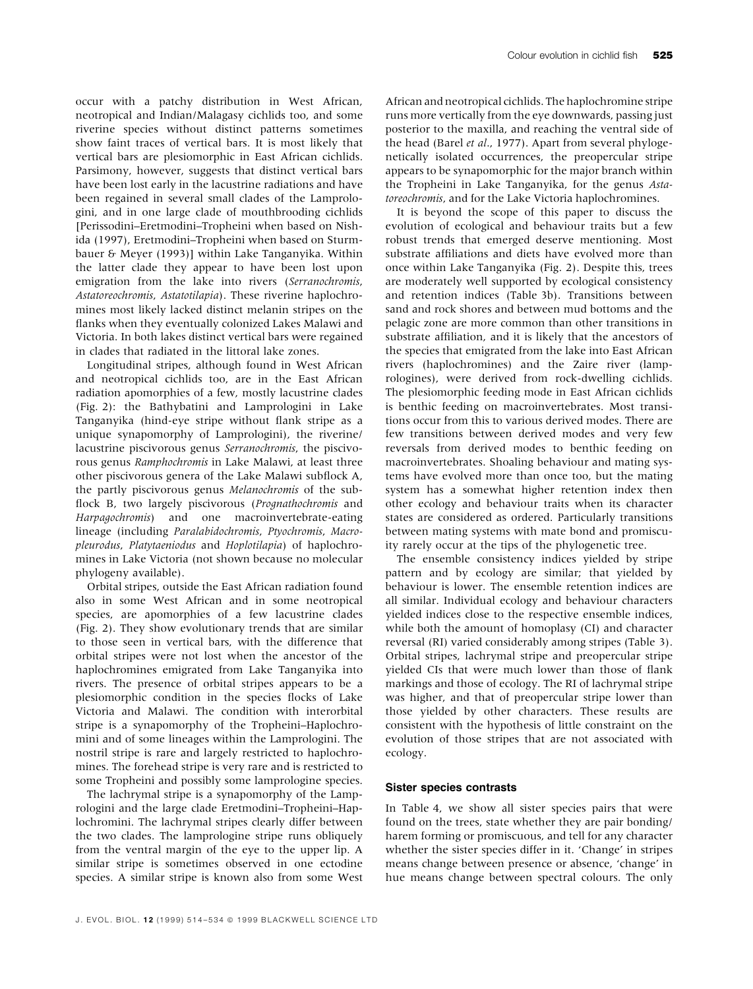occur with a patchy distribution in West African, neotropical and Indian/Malagasy cichlids too, and some riverine species without distinct patterns sometimes show faint traces of vertical bars. It is most likely that vertical bars are plesiomorphic in East African cichlids. Parsimony, however, suggests that distinct vertical bars have been lost early in the lacustrine radiations and have been regained in several small clades of the Lamprologini, and in one large clade of mouthbrooding cichlids [Perissodini±Eretmodini±Tropheini when based on Nishida (1997), Eretmodini-Tropheini when based on Sturmbauer & Meyer (1993)] within Lake Tanganyika. Within the latter clade they appear to have been lost upon emigration from the lake into rivers (Serranochromis, Astatoreochromis, Astatotilapia). These riverine haplochromines most likely lacked distinct melanin stripes on the flanks when they eventually colonized Lakes Malawi and Victoria. In both lakes distinct vertical bars were regained in clades that radiated in the littoral lake zones.

Longitudinal stripes, although found in West African and neotropical cichlids too, are in the East African radiation apomorphies of a few, mostly lacustrine clades (Fig. 2): the Bathybatini and Lamprologini in Lake Tanganyika (hind-eye stripe without flank stripe as a unique synapomorphy of Lamprologini), the riverine/ lacustrine piscivorous genus Serranochromis, the piscivorous genus Ramphochromis in Lake Malawi, at least three other piscivorous genera of the Lake Malawi subflock A, the partly piscivorous genus Melanochromis of the sub flock B, two largely piscivorous (Prognathochromis and Harpagochromis) and one macroinvertebrate-eating lineage (including Paralabidochromis, Ptyochromis, Macropleurodus, Platytaeniodus and Hoplotilapia) of haplochromines in Lake Victoria (not shown because no molecular phylogeny available).

Orbital stripes, outside the East African radiation found also in some West African and in some neotropical species, are apomorphies of a few lacustrine clades (Fig. 2). They show evolutionary trends that are similar to those seen in vertical bars, with the difference that orbital stripes were not lost when the ancestor of the haplochromines emigrated from Lake Tanganyika into rivers. The presence of orbital stripes appears to be a plesiomorphic condition in the species flocks of Lake Victoria and Malawi. The condition with interorbital stripe is a synapomorphy of the Tropheini-Haplochromini and of some lineages within the Lamprologini. The nostril stripe is rare and largely restricted to haplochromines. The forehead stripe is very rare and is restricted to some Tropheini and possibly some lamprologine species.

The lachrymal stripe is a synapomorphy of the Lamprologini and the large clade Eretmodini-Tropheini-Haplochromini. The lachrymal stripes clearly differ between the two clades. The lamprologine stripe runs obliquely from the ventral margin of the eye to the upper lip. A similar stripe is sometimes observed in one ectodine species. A similar stripe is known also from some West

African and neotropical cichlids. The haplochromine stripe runs more vertically from the eye downwards, passing just posterior to the maxilla, and reaching the ventral side of the head (Barel et al., 1977). Apart from several phylogenetically isolated occurrences, the preopercular stripe appears to be synapomorphic for the major branch within the Tropheini in Lake Tanganyika, for the genus Astatoreochromis, and for the Lake Victoria haplochromines.

It is beyond the scope of this paper to discuss the evolution of ecological and behaviour traits but a few robust trends that emerged deserve mentioning. Most substrate affiliations and diets have evolved more than once within Lake Tanganyika (Fig. 2). Despite this, trees are moderately well supported by ecological consistency and retention indices (Table 3b). Transitions between sand and rock shores and between mud bottoms and the pelagic zone are more common than other transitions in substrate affiliation, and it is likely that the ancestors of the species that emigrated from the lake into East African rivers (haplochromines) and the Zaire river (lamprologines), were derived from rock-dwelling cichlids. The plesiomorphic feeding mode in East African cichlids is benthic feeding on macroinvertebrates. Most transitions occur from this to various derived modes. There are few transitions between derived modes and very few reversals from derived modes to benthic feeding on macroinvertebrates. Shoaling behaviour and mating systems have evolved more than once too, but the mating system has a somewhat higher retention index then other ecology and behaviour traits when its character states are considered as ordered. Particularly transitions between mating systems with mate bond and promiscuity rarely occur at the tips of the phylogenetic tree.

The ensemble consistency indices yielded by stripe pattern and by ecology are similar; that yielded by behaviour is lower. The ensemble retention indices are all similar. Individual ecology and behaviour characters yielded indices close to the respective ensemble indices, while both the amount of homoplasy (CI) and character reversal (RI) varied considerably among stripes (Table 3). Orbital stripes, lachrymal stripe and preopercular stripe yielded CIs that were much lower than those of flank markings and those of ecology. The RI of lachrymal stripe was higher, and that of preopercular stripe lower than those yielded by other characters. These results are consistent with the hypothesis of little constraint on the evolution of those stripes that are not associated with ecology.

#### Sister species contrasts

In Table 4, we show all sister species pairs that were found on the trees, state whether they are pair bonding/ harem forming or promiscuous, and tell for any character whether the sister species differ in it. 'Change' in stripes means change between presence or absence, 'change' in hue means change between spectral colours. The only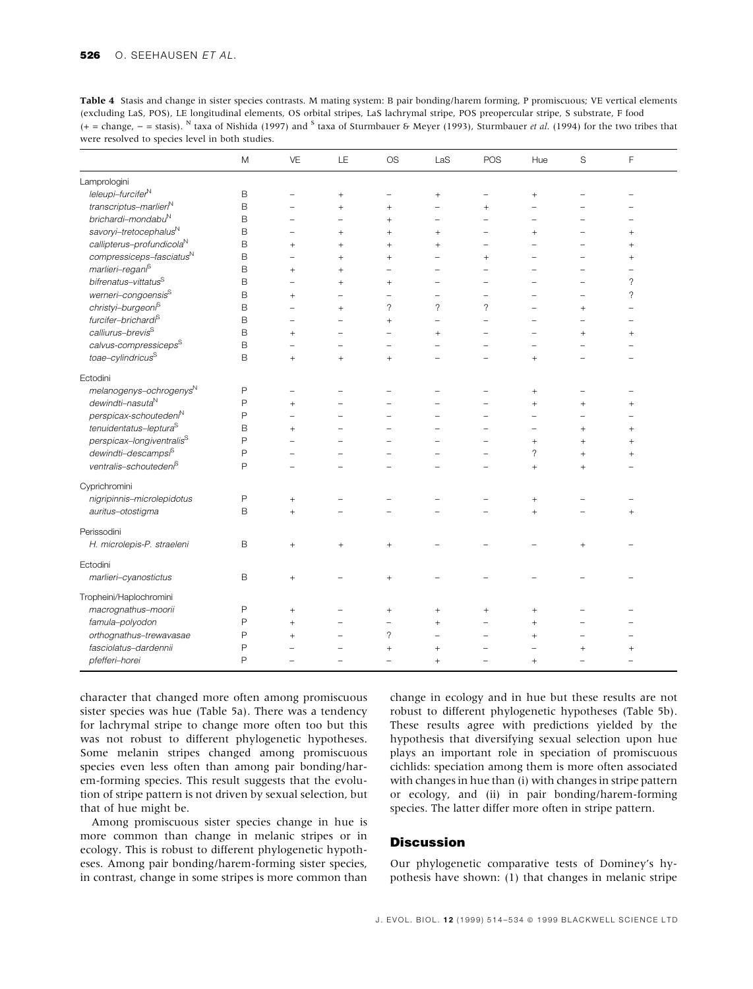Table 4 Stasis and change in sister species contrasts. M mating system: B pair bonding/harem forming, P promiscuous; VE vertical elements (excluding LaS, POS), LE longitudinal elements, OS orbital stripes, LaS lachrymal stripe, POS preopercular stripe, S substrate, F food  $(+)$  = change,  $-$  = stasis). <sup>N</sup> taxa of Nishida (1997) and <sup>S</sup> taxa of Sturmbauer & Meyer (1993), Sturmbauer *et al.* (1994) for the two tribes that were resolved to species level in both studies.

|                                       | M            | VE                       | LE     | <b>OS</b>                | LaS                      | POS                      | Hue            | S         | F               |  |
|---------------------------------------|--------------|--------------------------|--------|--------------------------|--------------------------|--------------------------|----------------|-----------|-----------------|--|
| Lamprologini                          |              |                          |        |                          |                          |                          |                |           |                 |  |
| $lel \neq l$                          | B            | ÷                        | $+$    | ۰                        | $+$                      | $\overline{\phantom{0}}$ | $^{+}$         |           |                 |  |
| transcriptus-marlieri <sup>N</sup>    | B            |                          | $+$    | $+$                      |                          | $^{+}$                   |                |           |                 |  |
| brichardi-mondabu <sup>N</sup>        | B            |                          |        | $+$                      |                          |                          |                |           |                 |  |
| savoryi-tretocephalus <sup>N</sup>    | B            | -                        | $+$    | $^{+}$                   | $^{+}$                   |                          | $\ddot{}$      |           | $+$             |  |
| callipterus-profundicola <sup>N</sup> | B            | $+$                      | $+$    | $^{+}$                   | $^{+}$                   |                          |                |           | $+$             |  |
| compressiceps-fasciatus <sup>N</sup>  | B            |                          | $^{+}$ | $^{+}$                   |                          | $^{+}$                   |                |           | $^{+}$          |  |
| marlieri-regani <sup>S</sup>          | B            | $+$                      | $+$    | ۰                        |                          |                          |                |           |                 |  |
| bifrenatus-vittatus <sup>S</sup>      | B            | $\overline{\phantom{0}}$ | $^{+}$ | $\! + \!\!\!\!$          | $\equiv$                 |                          |                |           | ?               |  |
| werneri-congoensis <sup>S</sup>       | B            | $^{+}$                   |        |                          |                          |                          |                |           | ?               |  |
| christyi-burgeoni <sup>S</sup>        | B            |                          | $^{+}$ | $\overline{\phantom{0}}$ | $\overline{\phantom{a}}$ | $\gamma$                 |                | $^{+}$    |                 |  |
| furcifer-brichardi <sup>S</sup>       | B            |                          |        | $^{+}$                   | $\overline{\phantom{0}}$ |                          |                |           |                 |  |
| calliurus-brevis <sup>S</sup>         | B            | $+$                      |        |                          | $^{+}$                   |                          |                | $^{+}$    | $^{+}$          |  |
| calvus-compressiceps <sup>S</sup>     | B            |                          |        |                          |                          |                          |                |           |                 |  |
| toae-cylindricus $^{\rm S}$           | B            | $+$                      | $+$    | $^{+}$                   |                          |                          | $\ddot{}$      |           |                 |  |
| Ectodini                              |              |                          |        |                          |                          |                          |                |           |                 |  |
| melanogenys-ochrogenysN               | $\mathsf{P}$ | ۳                        |        |                          |                          |                          | $^{+}$         |           |                 |  |
| dewindti-nasuta <sup>N</sup>          | P            | $\ddot{}$                |        |                          |                          |                          | $\overline{+}$ | $\ddot{}$ | $^{+}$          |  |
| perspicax-schouteden <sup>N</sup>     | P            |                          |        |                          |                          |                          |                |           |                 |  |
| tenuidentatus-leptura <sup>S</sup>    | B            | $^{+}$                   |        |                          |                          |                          |                | $^{+}$    | $^{+}$          |  |
| perspicax-longiventralis <sup>S</sup> | P            |                          |        |                          |                          |                          | $^{+}$         | $^{+}$    | $\! + \!\!\!\!$ |  |
| dewindti-descampsi <sup>S</sup>       | P            |                          |        |                          |                          |                          | ?              | $^{+}$    | $+$             |  |
| ventralis-schouteden <sup>6</sup>     | P            |                          |        |                          |                          |                          | $\ddot{}$      | $^{+}$    |                 |  |
| Cyprichromini                         |              |                          |        |                          |                          |                          |                |           |                 |  |
| nigripinnis-microlepidotus            | P            | $\! +$                   | ۰      |                          |                          |                          | $^{+}$         |           |                 |  |
| auritus-otostigma                     | B            | $+$                      |        |                          |                          |                          | $\ddot{}$      |           | $^{+}$          |  |
| Perissodini                           |              |                          |        |                          |                          |                          |                |           |                 |  |
| H. microlepis-P. straeleni            | B            | $^{+}$                   | $^{+}$ | $^{+}$                   |                          |                          |                | $^{+}$    |                 |  |
| Ectodini                              |              |                          |        |                          |                          |                          |                |           |                 |  |
| marlieri-cyanostictus                 | B            | $^{+}$                   |        | $^{+}$                   |                          |                          |                |           |                 |  |
| Tropheini/Haplochromini               |              |                          |        |                          |                          |                          |                |           |                 |  |
| macrognathus-moorii                   | P            | $^{+}$                   |        | $+$                      | $+$                      | $\ddot{}$                | $^{+}$         |           |                 |  |
| famula-polyodon                       | P            | $^{+}$                   |        | ۰                        | $^{+}$                   |                          | $\ddot{}$      |           |                 |  |
| orthognathus-trewavasae               | P            | $^{+}$                   |        | $\overline{\phantom{a}}$ |                          |                          | $^{+}$         |           |                 |  |
| fasciolatus-dardennii                 | P            |                          |        | $^{+}$                   | $+$                      |                          |                | $\ddot{}$ | $^{+}$          |  |
| pfefferi-horei                        | P            |                          |        | L.                       | $^{+}$                   |                          | $+$            |           |                 |  |

character that changed more often among promiscuous sister species was hue (Table 5a). There was a tendency for lachrymal stripe to change more often too but this was not robust to different phylogenetic hypotheses. Some melanin stripes changed among promiscuous species even less often than among pair bonding/harem-forming species. This result suggests that the evolution of stripe pattern is not driven by sexual selection, but that of hue might be.

Among promiscuous sister species change in hue is more common than change in melanic stripes or in ecology. This is robust to different phylogenetic hypotheses. Among pair bonding/harem-forming sister species, in contrast, change in some stripes is more common than

change in ecology and in hue but these results are not robust to different phylogenetic hypotheses (Table 5b). These results agree with predictions yielded by the hypothesis that diversifying sexual selection upon hue plays an important role in speciation of promiscuous cichlids: speciation among them is more often associated with changes in hue than (i) with changes in stripe pattern or ecology, and (ii) in pair bonding/harem-forming species. The latter differ more often in stripe pattern.

# **Discussion**

Our phylogenetic comparative tests of Dominey's hypothesis have shown: (1) that changes in melanic stripe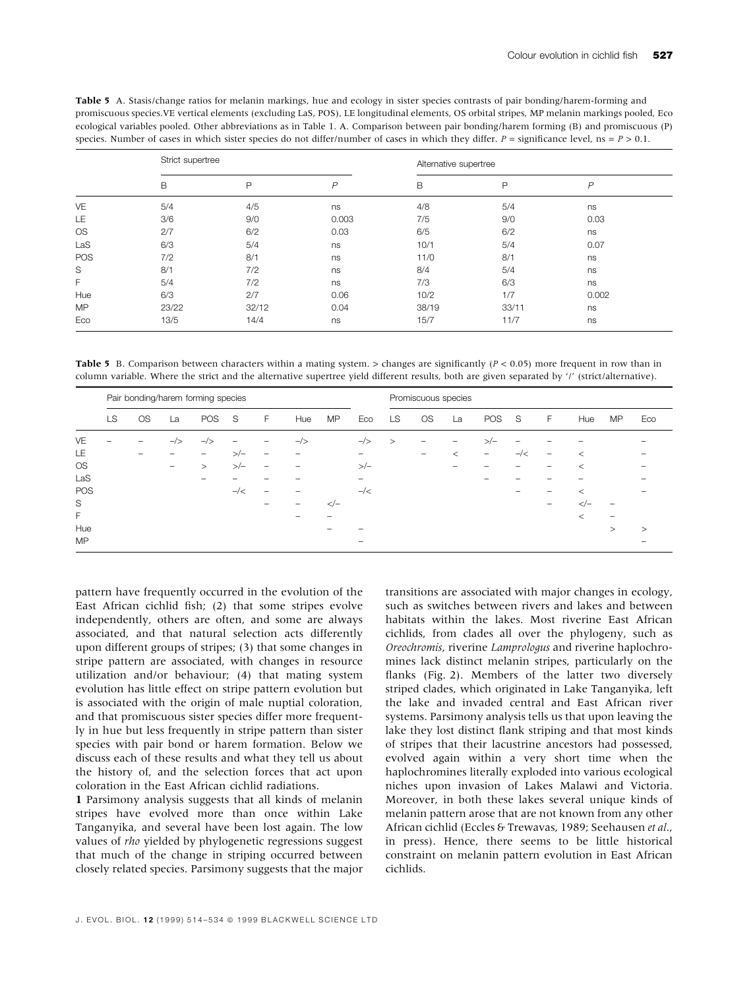| <b>Table 5</b> A. Stasis/change ratios for melanin markings, hue and ecology in sister species contrasts of pair bonding/harem-forming and      |
|-------------------------------------------------------------------------------------------------------------------------------------------------|
| promiscuous species. VE vertical elements (excluding LaS, POS), LE longitudinal elements, OS orbital stripes, MP melanin markings pooled, Eco   |
| ecological variables pooled. Other abbreviations as in Table 1. A. Comparison between pair bonding/harem forming (B) and promiscuous (P)        |
| species. Number of cases in which sister species do not differ/number of cases in which they differ. $P =$ significance level, $ns = P > 0.1$ . |
|                                                                                                                                                 |

|           | Strict supertree |       |               | Alternative supertree |       |                |  |
|-----------|------------------|-------|---------------|-----------------------|-------|----------------|--|
|           | B                | P     | $\mathcal{P}$ | B                     | P     | $\overline{P}$ |  |
| VE        | 5/4              | 4/5   | ns            | 4/8                   | 5/4   | ns             |  |
| LE        | 3/6              | 9/0   | 0.003         | 7/5                   | 9/0   | 0.03           |  |
| <b>OS</b> | 2/7              | 6/2   | 0.03          | 6/5                   | 6/2   | ns             |  |
| LaS       | 6/3              | 5/4   | ns            | 10/1                  | 5/4   | 0.07           |  |
| POS       | 7/2              | 8/1   | ns            | 11/0                  | 8/1   | ns             |  |
| S         | 8/1              | 7/2   | ns            | 8/4                   | 5/4   | ns             |  |
| F         | 5/4              | 7/2   | ns            | 7/3                   | 6/3   | ns             |  |
| Hue       | 6/3              | 2/7   | 0.06          | 10/2                  | 1/7   | 0.002          |  |
| <b>MP</b> | 23/22            | 32/12 | 0.04          | 38/19                 | 33/11 | ns             |  |
| Eco       | 13/5             | 14/4  | ns            | 15/7                  | 11/7  | ns             |  |

Table 5 B. Comparison between characters within a mating system. > changes are significantly  $(P < 0.05)$  more frequent in row than in column variable. Where the strict and the alternative supertree yield different results, both are given separated by `/' (strict/alternative).

|           |    |           |                                                                           | Pair bonding/harem forming species |             |   |                |          |                |        | Promiscuous species |         |        |                |   |                           |    |          |
|-----------|----|-----------|---------------------------------------------------------------------------|------------------------------------|-------------|---|----------------|----------|----------------|--------|---------------------|---------|--------|----------------|---|---------------------------|----|----------|
|           | LS | <b>OS</b> | La                                                                        | POS                                | $\mathbf S$ | F | Hue            | MP       | Eco            | LS.    | <b>OS</b>           | La      | POS    | - S            | F | Hue                       | MP | Eco      |
| VE        | -  | -         | $-\rightarrow$                                                            | $-/-$                              |             | - | $-\rightarrow$ |          | $-\rightarrow$ | $\geq$ | -                   | -       | $>-/-$ |                |   |                           |    |          |
| LE        |    | -         |                                                                           | $\overline{\phantom{0}}$           | $>\:-$      | - | -              |          |                |        | -                   | $\,<\,$ | -      | $-\frac{2}{x}$ | - | $\,<$                     |    |          |
| <b>OS</b> |    |           | $\hspace{1.0cm} \rule{1.5cm}{0.15cm} \hspace{1.0cm} \rule{1.5cm}{0.15cm}$ | $\geq$                             | >∕−         | - | -              |          | $>-/-$         |        |                     |         |        |                |   | $\,<$                     |    |          |
| LaS       |    |           |                                                                           |                                    |             |   |                |          | -              |        |                     |         |        |                |   |                           |    |          |
| POS       |    |           |                                                                           |                                    | $-$ / $<$   | - |                |          | $-\frac{1}{2}$ |        |                     |         |        | -              |   | <                         |    |          |
| S         |    |           |                                                                           |                                    |             |   |                | $\lt$ /- |                |        |                     |         |        |                |   | -</td <td></td> <td></td> |    |          |
| F         |    |           |                                                                           |                                    |             |   |                |          |                |        |                     |         |        |                |   | $\,<\,$                   | -  |          |
| Hue       |    |           |                                                                           |                                    |             |   |                |          |                |        |                     |         |        |                |   |                           | >  | $\rm{>}$ |
| <b>MP</b> |    |           |                                                                           |                                    |             |   |                |          |                |        |                     |         |        |                |   |                           |    |          |

pattern have frequently occurred in the evolution of the East African cichlid fish;  $(2)$  that some stripes evolve independently, others are often, and some are always associated, and that natural selection acts differently upon different groups of stripes; (3) that some changes in stripe pattern are associated, with changes in resource utilization and/or behaviour; (4) that mating system evolution has little effect on stripe pattern evolution but is associated with the origin of male nuptial coloration, and that promiscuous sister species differ more frequently in hue but less frequently in stripe pattern than sister species with pair bond or harem formation. Below we discuss each of these results and what they tell us about the history of, and the selection forces that act upon coloration in the East African cichlid radiations.

1 Parsimony analysis suggests that all kinds of melanin stripes have evolved more than once within Lake Tanganyika, and several have been lost again. The low values of rho yielded by phylogenetic regressions suggest that much of the change in striping occurred between closely related species. Parsimony suggests that the major

transitions are associated with major changes in ecology, such as switches between rivers and lakes and between habitats within the lakes. Most riverine East African cichlids, from clades all over the phylogeny, such as Oreochromis, riverine Lamprologus and riverine haplochromines lack distinct melanin stripes, particularly on the flanks (Fig. 2). Members of the latter two diversely striped clades, which originated in Lake Tanganyika, left the lake and invaded central and East African river systems. Parsimony analysis tells us that upon leaving the lake they lost distinct flank striping and that most kinds of stripes that their lacustrine ancestors had possessed, evolved again within a very short time when the haplochromines literally exploded into various ecological niches upon invasion of Lakes Malawi and Victoria. Moreover, in both these lakes several unique kinds of melanin pattern arose that are not known from any other African cichlid (Eccles & Trewavas, 1989; Seehausen et al., in press). Hence, there seems to be little historical constraint on melanin pattern evolution in East African cichlids.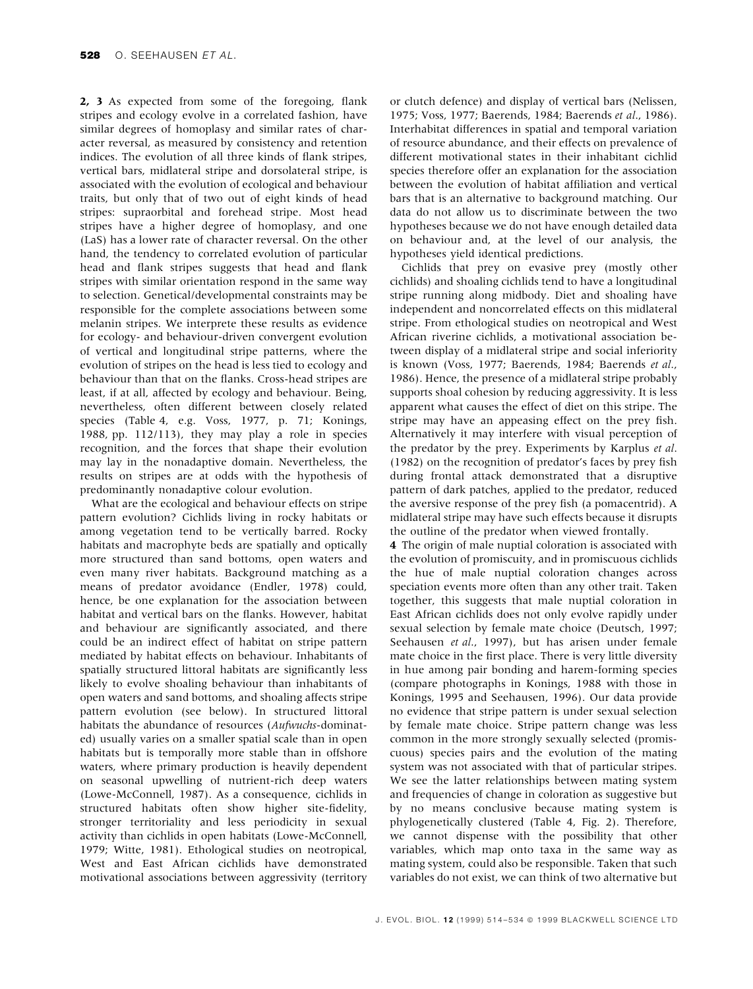2, 3 As expected from some of the foregoing, flank stripes and ecology evolve in a correlated fashion, have similar degrees of homoplasy and similar rates of character reversal, as measured by consistency and retention indices. The evolution of all three kinds of flank stripes, vertical bars, midlateral stripe and dorsolateral stripe, is associated with the evolution of ecological and behaviour traits, but only that of two out of eight kinds of head stripes: supraorbital and forehead stripe. Most head stripes have a higher degree of homoplasy, and one (LaS) has a lower rate of character reversal. On the other hand, the tendency to correlated evolution of particular head and flank stripes suggests that head and flank stripes with similar orientation respond in the same way to selection. Genetical/developmental constraints may be responsible for the complete associations between some melanin stripes. We interprete these results as evidence for ecology- and behaviour-driven convergent evolution of vertical and longitudinal stripe patterns, where the evolution of stripes on the head is less tied to ecology and behaviour than that on the flanks. Cross-head stripes are least, if at all, affected by ecology and behaviour. Being, nevertheless, often different between closely related species (Table 4, e.g. Voss, 1977, p. 71; Konings, 1988, pp. 112/113), they may play a role in species recognition, and the forces that shape their evolution may lay in the nonadaptive domain. Nevertheless, the results on stripes are at odds with the hypothesis of predominantly nonadaptive colour evolution.

What are the ecological and behaviour effects on stripe pattern evolution? Cichlids living in rocky habitats or among vegetation tend to be vertically barred. Rocky habitats and macrophyte beds are spatially and optically more structured than sand bottoms, open waters and even many river habitats. Background matching as a means of predator avoidance (Endler, 1978) could, hence, be one explanation for the association between habitat and vertical bars on the flanks. However, habitat and behaviour are significantly associated, and there could be an indirect effect of habitat on stripe pattern mediated by habitat effects on behaviour. Inhabitants of spatially structured littoral habitats are significantly less likely to evolve shoaling behaviour than inhabitants of open waters and sand bottoms, and shoaling affects stripe pattern evolution (see below). In structured littoral habitats the abundance of resources (Aufwuchs-dominated) usually varies on a smaller spatial scale than in open habitats but is temporally more stable than in offshore waters, where primary production is heavily dependent on seasonal upwelling of nutrient-rich deep waters (Lowe-McConnell, 1987). As a consequence, cichlids in structured habitats often show higher site-fidelity, stronger territoriality and less periodicity in sexual activity than cichlids in open habitats (Lowe-McConnell, 1979; Witte, 1981). Ethological studies on neotropical, West and East African cichlids have demonstrated motivational associations between aggressivity (territory or clutch defence) and display of vertical bars (Nelissen, 1975; Voss, 1977; Baerends, 1984; Baerends et al., 1986). Interhabitat differences in spatial and temporal variation of resource abundance, and their effects on prevalence of different motivational states in their inhabitant cichlid species therefore offer an explanation for the association between the evolution of habitat affiliation and vertical bars that is an alternative to background matching. Our data do not allow us to discriminate between the two hypotheses because we do not have enough detailed data on behaviour and, at the level of our analysis, the hypotheses yield identical predictions.

Cichlids that prey on evasive prey (mostly other cichlids) and shoaling cichlids tend to have a longitudinal stripe running along midbody. Diet and shoaling have independent and noncorrelated effects on this midlateral stripe. From ethological studies on neotropical and West African riverine cichlids, a motivational association between display of a midlateral stripe and social inferiority is known (Voss, 1977; Baerends, 1984; Baerends et al., 1986). Hence, the presence of a midlateral stripe probably supports shoal cohesion by reducing aggressivity. It is less apparent what causes the effect of diet on this stripe. The stripe may have an appeasing effect on the prey fish. Alternatively it may interfere with visual perception of the predator by the prey. Experiments by Karplus et al.  $(1982)$  on the recognition of predator's faces by prey fish during frontal attack demonstrated that a disruptive pattern of dark patches, applied to the predator, reduced the aversive response of the prey fish (a pomacentrid). A midlateral stripe may have such effects because it disrupts the outline of the predator when viewed frontally.

4 The origin of male nuptial coloration is associated with the evolution of promiscuity, and in promiscuous cichlids the hue of male nuptial coloration changes across speciation events more often than any other trait. Taken together, this suggests that male nuptial coloration in East African cichlids does not only evolve rapidly under sexual selection by female mate choice (Deutsch, 1997; Seehausen et al., 1997), but has arisen under female mate choice in the first place. There is very little diversity in hue among pair bonding and harem-forming species (compare photographs in Konings, 1988 with those in Konings, 1995 and Seehausen, 1996). Our data provide no evidence that stripe pattern is under sexual selection by female mate choice. Stripe pattern change was less common in the more strongly sexually selected (promiscuous) species pairs and the evolution of the mating system was not associated with that of particular stripes. We see the latter relationships between mating system and frequencies of change in coloration as suggestive but by no means conclusive because mating system is phylogenetically clustered (Table 4, Fig. 2). Therefore, we cannot dispense with the possibility that other variables, which map onto taxa in the same way as mating system, could also be responsible. Taken that such variables do not exist, we can think of two alternative but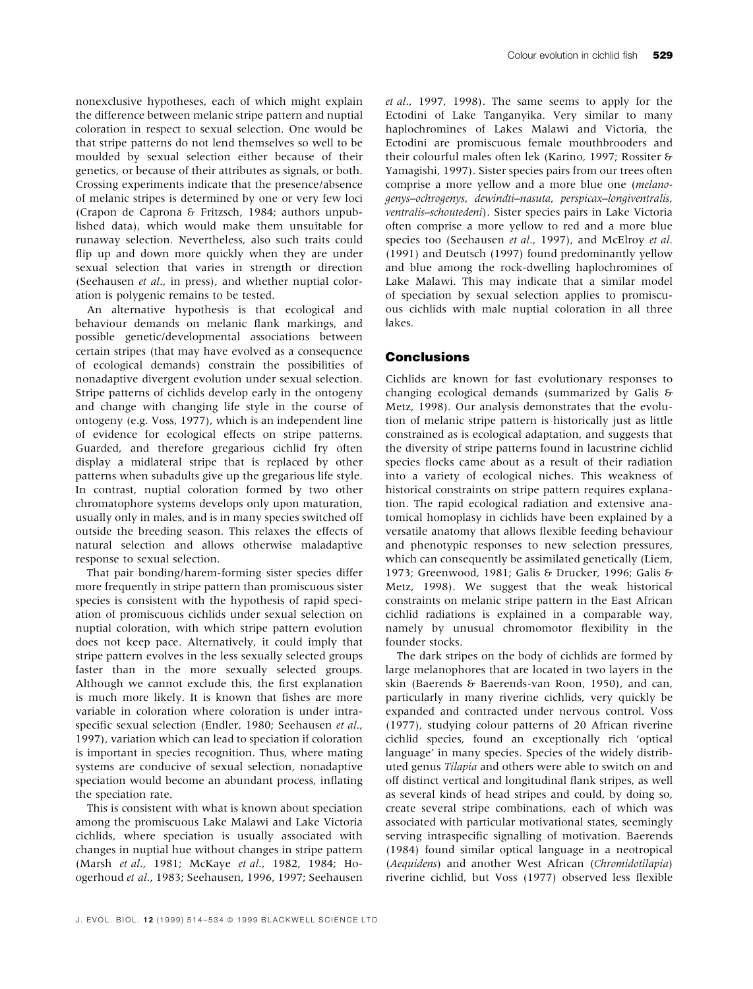nonexclusive hypotheses, each of which might explain the difference between melanic stripe pattern and nuptial coloration in respect to sexual selection. One would be that stripe patterns do not lend themselves so well to be moulded by sexual selection either because of their genetics, or because of their attributes as signals, or both. Crossing experiments indicate that the presence/absence of melanic stripes is determined by one or very few loci (Crapon de Caprona & Fritzsch, 1984; authors unpublished data), which would make them unsuitable for runaway selection. Nevertheless, also such traits could flip up and down more quickly when they are under sexual selection that varies in strength or direction (Seehausen et al., in press), and whether nuptial coloration is polygenic remains to be tested.

An alternative hypothesis is that ecological and behaviour demands on melanic flank markings, and possible genetic/developmental associations between certain stripes (that may have evolved as a consequence of ecological demands) constrain the possibilities of nonadaptive divergent evolution under sexual selection. Stripe patterns of cichlids develop early in the ontogeny and change with changing life style in the course of ontogeny (e.g. Voss, 1977), which is an independent line of evidence for ecological effects on stripe patterns. Guarded, and therefore gregarious cichlid fry often display a midlateral stripe that is replaced by other patterns when subadults give up the gregarious life style. In contrast, nuptial coloration formed by two other chromatophore systems develops only upon maturation, usually only in males, and is in many species switched off outside the breeding season. This relaxes the effects of natural selection and allows otherwise maladaptive response to sexual selection.

That pair bonding/harem-forming sister species differ more frequently in stripe pattern than promiscuous sister species is consistent with the hypothesis of rapid speciation of promiscuous cichlids under sexual selection on nuptial coloration, with which stripe pattern evolution does not keep pace. Alternatively, it could imply that stripe pattern evolves in the less sexually selected groups faster than in the more sexually selected groups. Although we cannot exclude this, the first explanation is much more likely. It is known that fishes are more variable in coloration where coloration is under intraspecific sexual selection (Endler, 1980; Seehausen et al., 1997), variation which can lead to speciation if coloration is important in species recognition. Thus, where mating systems are conducive of sexual selection, nonadaptive speciation would become an abundant process, inflating the speciation rate.

This is consistent with what is known about speciation among the promiscuous Lake Malawi and Lake Victoria cichlids, where speciation is usually associated with changes in nuptial hue without changes in stripe pattern (Marsh et al., 1981; McKaye et al., 1982, 1984; Hoogerhoud et al., 1983; Seehausen, 1996, 1997; Seehausen

et al., 1997, 1998). The same seems to apply for the Ectodini of Lake Tanganyika. Very similar to many haplochromines of Lakes Malawi and Victoria, the Ectodini are promiscuous female mouthbrooders and their colourful males often lek (Karino, 1997; Rossiter & Yamagishi, 1997). Sister species pairs from our trees often comprise a more yellow and a more blue one (melanogenys-ochrogenys, dewindti-nasuta, perspicax-longiventralis, ventralis-schoutedeni). Sister species pairs in Lake Victoria often comprise a more yellow to red and a more blue species too (Seehausen et al., 1997), and McElroy et al. (1991) and Deutsch (1997) found predominantly yellow and blue among the rock-dwelling haplochromines of Lake Malawi. This may indicate that a similar model of speciation by sexual selection applies to promiscuous cichlids with male nuptial coloration in all three lakes.

# Conclusions

Cichlids are known for fast evolutionary responses to changing ecological demands (summarized by Galis & Metz, 1998). Our analysis demonstrates that the evolution of melanic stripe pattern is historically just as little constrained as is ecological adaptation, and suggests that the diversity of stripe patterns found in lacustrine cichlid species flocks came about as a result of their radiation into a variety of ecological niches. This weakness of historical constraints on stripe pattern requires explanation. The rapid ecological radiation and extensive anatomical homoplasy in cichlids have been explained by a versatile anatomy that allows flexible feeding behaviour and phenotypic responses to new selection pressures, which can consequently be assimilated genetically (Liem, 1973; Greenwood, 1981; Galis & Drucker, 1996; Galis & Metz, 1998). We suggest that the weak historical constraints on melanic stripe pattern in the East African cichlid radiations is explained in a comparable way, namely by unusual chromomotor flexibility in the founder stocks.

The dark stripes on the body of cichlids are formed by large melanophores that are located in two layers in the skin (Baerends & Baerends-van Roon, 1950), and can, particularly in many riverine cichlids, very quickly be expanded and contracted under nervous control. Voss (1977), studying colour patterns of 20 African riverine cichlid species, found an exceptionally rich `optical language' in many species. Species of the widely distributed genus Tilapia and others were able to switch on and off distinct vertical and longitudinal flank stripes, as well as several kinds of head stripes and could, by doing so, create several stripe combinations, each of which was associated with particular motivational states, seemingly serving intraspecific signalling of motivation. Baerends (1984) found similar optical language in a neotropical (Aequidens) and another West African (Chromidotilapia) riverine cichlid, but Voss (1977) observed less flexible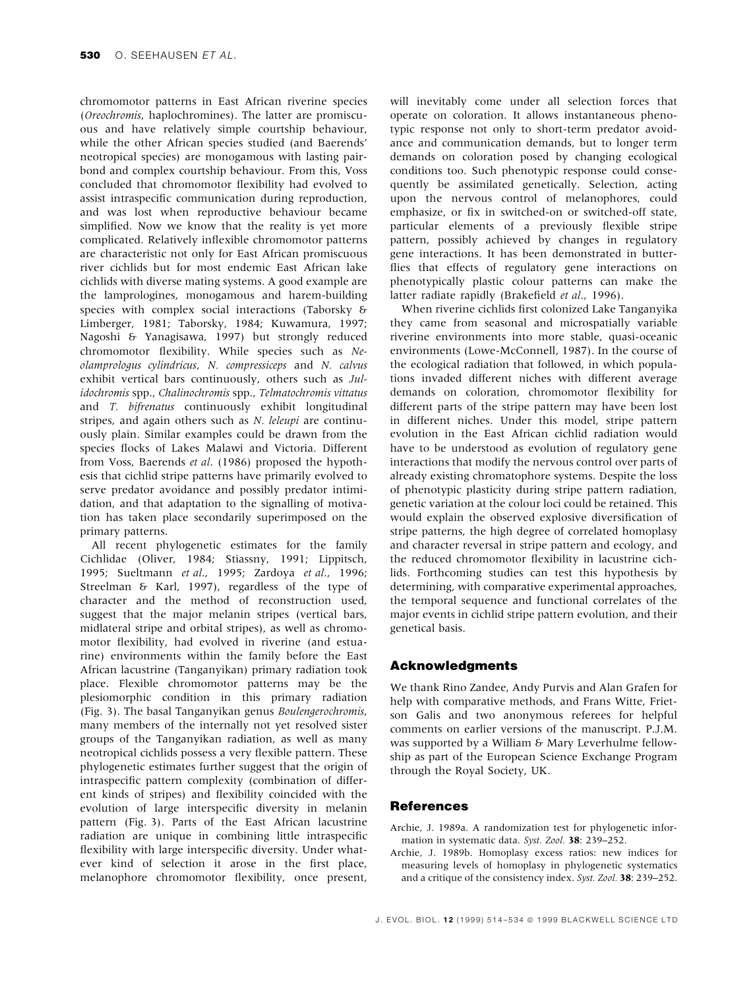chromomotor patterns in East African riverine species (Oreochromis, haplochromines). The latter are promiscuous and have relatively simple courtship behaviour, while the other African species studied (and Baerends' neotropical species) are monogamous with lasting pairbond and complex courtship behaviour. From this, Voss concluded that chromomotor flexibility had evolved to assist intraspecific communication during reproduction, and was lost when reproductive behaviour became simplified. Now we know that the reality is yet more complicated. Relatively inflexible chromomotor patterns are characteristic not only for East African promiscuous river cichlids but for most endemic East African lake cichlids with diverse mating systems. A good example are the lamprologines, monogamous and harem-building species with complex social interactions (Taborsky & Limberger, 1981; Taborsky, 1984; Kuwamura, 1997; Nagoshi & Yanagisawa, 1997) but strongly reduced chromomotor flexibility. While species such as Neolamprologus cylindricus, N. compressiceps and N. calvus exhibit vertical bars continuously, others such as Julidochromis spp., Chalinochromis spp., Telmatochromis vittatus and T. bifrenatus continuously exhibit longitudinal stripes, and again others such as N. leleupi are continuously plain. Similar examples could be drawn from the species flocks of Lakes Malawi and Victoria. Different from Voss, Baerends et al. (1986) proposed the hypothesis that cichlid stripe patterns have primarily evolved to serve predator avoidance and possibly predator intimidation, and that adaptation to the signalling of motivation has taken place secondarily superimposed on the primary patterns.

All recent phylogenetic estimates for the family Cichlidae (Oliver, 1984; Stiassny, 1991; Lippitsch, 1995; Sueltmann et al., 1995; Zardoya et al., 1996; Streelman & Karl, 1997), regardless of the type of character and the method of reconstruction used, suggest that the major melanin stripes (vertical bars, midlateral stripe and orbital stripes), as well as chromomotor flexibility, had evolved in riverine (and estuarine) environments within the family before the East African lacustrine (Tanganyikan) primary radiation took place. Flexible chromomotor patterns may be the plesiomorphic condition in this primary radiation (Fig. 3). The basal Tanganyikan genus Boulengerochromis, many members of the internally not yet resolved sister groups of the Tanganyikan radiation, as well as many neotropical cichlids possess a very flexible pattern. These phylogenetic estimates further suggest that the origin of intraspecific pattern complexity (combination of different kinds of stripes) and flexibility coincided with the evolution of large interspecific diversity in melanin pattern (Fig. 3). Parts of the East African lacustrine radiation are unique in combining little intraspecific flexibility with large interspecific diversity. Under whatever kind of selection it arose in the first place, melanophore chromomotor flexibility, once present,

will inevitably come under all selection forces that operate on coloration. It allows instantaneous phenotypic response not only to short-term predator avoidance and communication demands, but to longer term demands on coloration posed by changing ecological conditions too. Such phenotypic response could consequently be assimilated genetically. Selection, acting upon the nervous control of melanophores, could emphasize, or fix in switched-on or switched-off state, particular elements of a previously flexible stripe pattern, possibly achieved by changes in regulatory gene interactions. It has been demonstrated in butter flies that effects of regulatory gene interactions on phenotypically plastic colour patterns can make the latter radiate rapidly (Brakefield et al., 1996).

When riverine cichlids first colonized Lake Tanganyika they came from seasonal and microspatially variable riverine environments into more stable, quasi-oceanic environments (Lowe-McConnell, 1987). In the course of the ecological radiation that followed, in which populations invaded different niches with different average demands on coloration, chromomotor flexibility for different parts of the stripe pattern may have been lost in different niches. Under this model, stripe pattern evolution in the East African cichlid radiation would have to be understood as evolution of regulatory gene interactions that modify the nervous control over parts of already existing chromatophore systems. Despite the loss of phenotypic plasticity during stripe pattern radiation, genetic variation at the colour loci could be retained. This would explain the observed explosive diversification of stripe patterns, the high degree of correlated homoplasy and character reversal in stripe pattern and ecology, and the reduced chromomotor flexibility in lacustrine cichlids. Forthcoming studies can test this hypothesis by determining, with comparative experimental approaches, the temporal sequence and functional correlates of the major events in cichlid stripe pattern evolution, and their genetical basis.

# Acknowledgments

We thank Rino Zandee, Andy Purvis and Alan Grafen for help with comparative methods, and Frans Witte, Frietson Galis and two anonymous referees for helpful comments on earlier versions of the manuscript. P.J.M. was supported by a William & Mary Leverhulme fellowship as part of the European Science Exchange Program through the Royal Society, UK.

### **References**

- Archie, J. 1989a. A randomization test for phylogenetic information in systematic data. Syst. Zool. 38: 239-252.
- Archie, J. 1989b. Homoplasy excess ratios: new indices for measuring levels of homoplasy in phylogenetic systematics and a critique of the consistency index. Syst. Zool. 38: 239-252.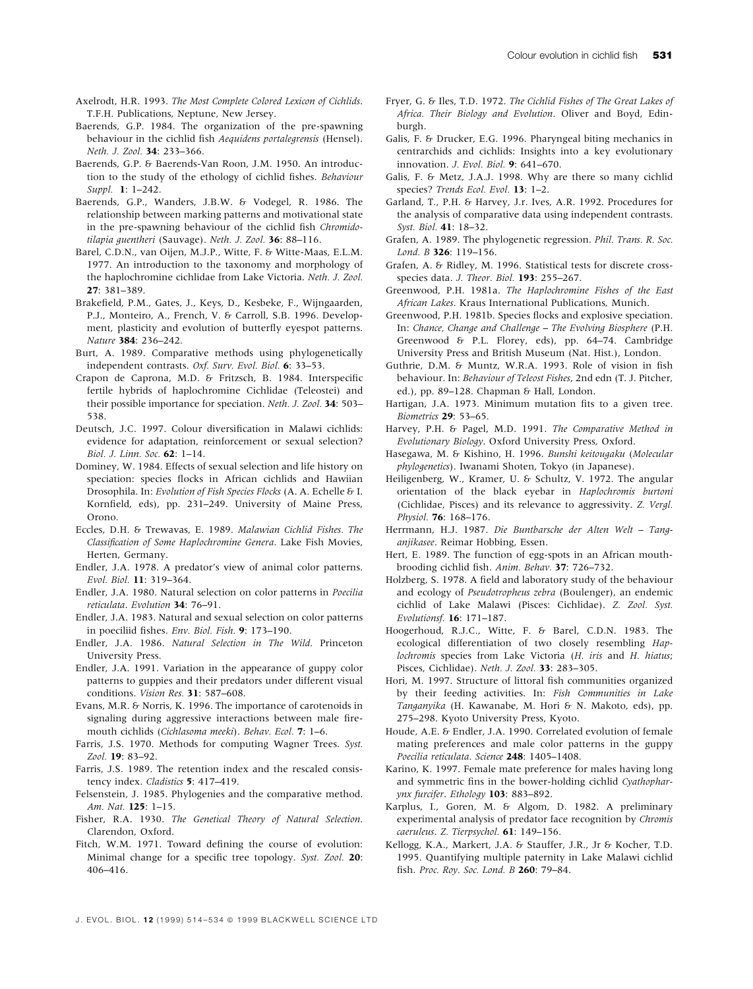- Axelrodt, H.R. 1993. The Most Complete Colored Lexicon of Cichlids. T.F.H. Publications, Neptune, New Jersey.
- Baerends, G.P. 1984. The organization of the pre-spawning behaviour in the cichlid fish Aequidens portalegrensis (Hensel). Neth. J. Zool. 34: 233-366.
- Baerends, G.P. & Baerends-Van Roon, J.M. 1950. An introduction to the study of the ethology of cichlid fishes. Behaviour Suppl. 1: 1-242.
- Baerends, G.P., Wanders, J.B.W. & Vodegel, R. 1986. The relationship between marking patterns and motivational state in the pre-spawning behaviour of the cichlid fish Chromidotilapia guentheri (Sauvage). Neth. J. Zool. 36: 88-116.
- Barel, C.D.N., van Oijen, M.J.P., Witte, F. & Witte-Maas, E.L.M. 1977. An introduction to the taxonomy and morphology of the haplochromine cichlidae from Lake Victoria. Neth. J. Zool. 27: 381±389.
- Brakefield, P.M., Gates, J., Keys, D., Kesbeke, F., Wijngaarden, P.J., Monteiro, A., French, V. & Carroll, S.B. 1996. Development, plasticity and evolution of butterfly eyespot patterns. Nature 384: 236-242.
- Burt, A. 1989. Comparative methods using phylogenetically independent contrasts. Oxf. Surv. Evol. Biol. 6: 33-53.
- Crapon de Caprona, M.D. & Fritzsch, B. 1984. Interspecific fertile hybrids of haplochromine Cichlidae (Teleostei) and their possible importance for speciation. Neth. J. Zool. 34: 503-538.
- Deutsch, J.C. 1997. Colour diversification in Malawi cichlids: evidence for adaptation, reinforcement or sexual selection? Biol. J. Linn. Soc. 62: 1-14.
- Dominey, W. 1984. Effects of sexual selection and life history on speciation: species flocks in African cichlids and Hawiian Drosophila. In: Evolution of Fish Species Flocks (A. A. Echelle & I. Kornfield, eds), pp. 231-249. University of Maine Press, Orono.
- Eccles, D.H. & Trewavas, E. 1989. Malawian Cichlid Fishes. The Classification of Some Haplochromine Genera. Lake Fish Movies, Herten, Germany.
- Endler, J.A. 1978. A predator's view of animal color patterns. Evol. Biol. 11: 319-364.
- Endler, J.A. 1980. Natural selection on color patterns in Poecilia reticulata. Evolution 34: 76-91.
- Endler, J.A. 1983. Natural and sexual selection on color patterns in poeciliid fishes. Env. Biol. Fish. 9: 173-190.
- Endler, J.A. 1986. Natural Selection in The Wild. Princeton University Press.
- Endler, J.A. 1991. Variation in the appearance of guppy color patterns to guppies and their predators under different visual conditions. Vision Res. 31: 587-608.
- Evans, M.R. & Norris, K. 1996. The importance of carotenoids in signaling during aggressive interactions between male firemouth cichlids (Cichlasoma meeki). Behav. Ecol. 7: 1-6.
- Farris, J.S. 1970. Methods for computing Wagner Trees. Syst. Zool. 19: 83-92.
- Farris, J.S. 1989. The retention index and the rescaled consistency index. Cladistics 5: 417-419.
- Felsenstein, J. 1985. Phylogenies and the comparative method. Am. Nat. 125: 1-15.
- Fisher, R.A. 1930. The Genetical Theory of Natural Selection. Clarendon, Oxford.
- Fitch, W.M. 1971. Toward defining the course of evolution: Minimal change for a specific tree topology. Syst. Zool. 20: 406±416.
- Fryer, G. & Iles, T.D. 1972. The Cichlid Fishes of The Great Lakes of Africa. Their Biology and Evolution. Oliver and Boyd, Edinburgh.
- Galis, F. & Drucker, E.G. 1996. Pharyngeal biting mechanics in centrarchids and cichlids: Insights into a key evolutionary innovation. J. Evol. Biol. 9: 641-670.
- Galis, F. & Metz, J.A.J. 1998. Why are there so many cichlid species? Trends Ecol. Evol. 13: 1-2.
- Garland, T., P.H. & Harvey, J.r. Ives, A.R. 1992. Procedures for the analysis of comparative data using independent contrasts. Syst. Biol. 41: 18-32.
- Grafen, A. 1989. The phylogenetic regression. Phil. Trans. R. Soc. Lond. B 326: 119-156.
- Grafen, A. & Ridley, M. 1996. Statistical tests for discrete crossspecies data. J. Theor. Biol. 193: 255-267.
- Greenwood, P.H. 1981a. The Haplochromine Fishes of the East African Lakes. Kraus International Publications, Munich.
- Greenwood, P.H. 1981b. Species flocks and explosive speciation. In: Chance, Change and Challenge - The Evolving Biosphere (P.H. Greenwood & P.L. Florey, eds), pp. 64-74. Cambridge University Press and British Museum (Nat. Hist.), London.
- Guthrie, D.M. & Muntz, W.R.A. 1993. Role of vision in fish behaviour. In: Behaviour of Teleost Fishes, 2nd edn (T. J. Pitcher, ed.), pp. 89-128. Chapman & Hall, London.
- Hartigan, J.A. 1973. Minimum mutation fits to a given tree. Biometrics **29**: 53-65.
- Harvey, P.H. & Pagel, M.D. 1991. The Comparative Method in Evolutionary Biology. Oxford University Press, Oxford.
- Hasegawa, M. & Kishino, H. 1996. Bunshi keitougaku (Molecular phylogenetics). Iwanami Shoten, Tokyo (in Japanese).
- Heiligenberg, W., Kramer, U. & Schultz, V. 1972. The angular orientation of the black eyebar in Haplochromis burtoni (Cichlidae, Pisces) and its relevance to aggressivity. Z. Vergl. Physiol. **76**: 168-176.
- Herrmann, H.J. 1987. Die Buntbarsche der Alten Welt Tanganjikasee. Reimar Hobbing, Essen.
- Hert, E. 1989. The function of egg-spots in an African mouthbrooding cichlid fish. Anim. Behav. 37: 726-732.
- Holzberg, S. 1978. A field and laboratory study of the behaviour and ecology of Pseudotropheus zebra (Boulenger), an endemic cichlid of Lake Malawi (Pisces: Cichlidae). Z. Zool. Syst. Evolutionsf. 16: 171-187.
- Hoogerhoud, R.J.C., Witte, F. & Barel, C.D.N. 1983. The ecological differentiation of two closely resembling Haplochromis species from Lake Victoria (H. iris and H. hiatus; Pisces, Cichlidae). Neth. J. Zool. 33: 283-305.
- Hori, M. 1997. Structure of littoral fish communities organized by their feeding activities. In: Fish Communities in Lake Tanganyika (H. Kawanabe, M. Hori & N. Makoto, eds), pp. 275-298. Kyoto University Press, Kyoto.
- Houde, A.E. & Endler, J.A. 1990. Correlated evolution of female mating preferences and male color patterns in the guppy Poecilia reticulata. Science 248: 1405-1408.
- Karino, K. 1997. Female mate preference for males having long and symmetric fins in the bower-holding cichlid Cyathopharynx furcifer. Ethology 103: 883-892.
- Karplus, I., Goren, M. & Algom, D. 1982. A preliminary experimental analysis of predator face recognition by Chromis caeruleus. Z. Tierpsychol. 61: 149-156.
- Kellogg, K.A., Markert, J.A. & Stauffer, J.R., Jr & Kocher, T.D. 1995. Quantifying multiple paternity in Lake Malawi cichlid fish. Proc. Roy. Soc. Lond. B 260: 79-84.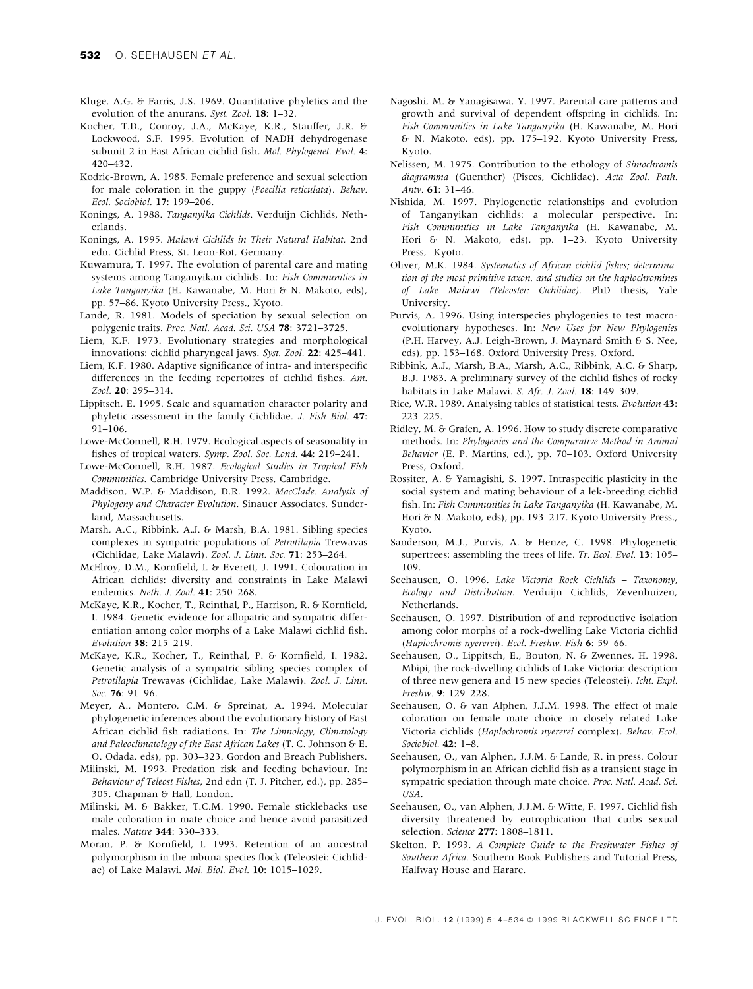- Kluge, A.G. & Farris, J.S. 1969. Quantitative phyletics and the evolution of the anurans. Syst. Zool. 18: 1-32.
- Kocher, T.D., Conroy, J.A., McKaye, K.R., Stauffer, J.R. & Lockwood, S.F. 1995. Evolution of NADH dehydrogenase subunit 2 in East African cichlid fish. Mol. Phylogenet. Evol. 4: 420±432.
- Kodric-Brown, A. 1985. Female preference and sexual selection for male coloration in the guppy (Poecilia reticulata). Behav. Ecol. Sociobiol. 17: 199-206.
- Konings, A. 1988. Tanganyika Cichlids. Verduijn Cichlids, Netherlands.
- Konings, A. 1995. Malawi Cichlids in Their Natural Habitat, 2nd edn. Cichlid Press, St. Leon-Rot, Germany.
- Kuwamura, T. 1997. The evolution of parental care and mating systems among Tanganyikan cichlids. In: Fish Communities in Lake Tanganyika (H. Kawanabe, M. Hori & N. Makoto, eds), pp. 57-86. Kyoto University Press., Kyoto.
- Lande, R. 1981. Models of speciation by sexual selection on polygenic traits. Proc. Natl. Acad. Sci. USA 78: 3721-3725.
- Liem, K.F. 1973. Evolutionary strategies and morphological innovations: cichlid pharyngeal jaws. Syst. Zool. 22: 425-441.
- Liem, K.F. 1980. Adaptive significance of intra- and interspecific differences in the feeding repertoires of cichlid fishes.  $Am$ . Zool. 20: 295-314.
- Lippitsch, E. 1995. Scale and squamation character polarity and phyletic assessment in the family Cichlidae. J. Fish Biol. 47: 91-106.
- Lowe-McConnell, R.H. 1979. Ecological aspects of seasonality in fishes of tropical waters. Symp. Zool. Soc. Lond. 44: 219-241.
- Lowe-McConnell, R.H. 1987. Ecological Studies in Tropical Fish Communities. Cambridge University Press, Cambridge.
- Maddison, W.P. & Maddison, D.R. 1992. MacClade. Analysis of Phylogeny and Character Evolution. Sinauer Associates, Sunderland, Massachusetts.
- Marsh, A.C., Ribbink, A.J. & Marsh, B.A. 1981. Sibling species complexes in sympatric populations of Petrotilapia Trewavas (Cichlidae, Lake Malawi). Zool. J. Linn. Soc. 71: 253-264.
- McElroy, D.M., Kornfield, I. & Everett, J. 1991. Colouration in African cichlids: diversity and constraints in Lake Malawi endemics. Neth. J. Zool. 41: 250-268.
- McKaye, K.R., Kocher, T., Reinthal, P., Harrison, R. & Kornfield, I. 1984. Genetic evidence for allopatric and sympatric differentiation among color morphs of a Lake Malawi cichlid fish. Evolution 38: 215-219.
- McKaye, K.R., Kocher, T., Reinthal, P. & Kornfield, I. 1982. Genetic analysis of a sympatric sibling species complex of Petrotilapia Trewavas (Cichlidae, Lake Malawi). Zool. J. Linn. Soc. 76: 91-96.
- Meyer, A., Montero, C.M. & Spreinat, A. 1994. Molecular phylogenetic inferences about the evolutionary history of East African cichlid fish radiations. In: The Limnology, Climatology and Paleoclimatology of the East African Lakes (T. C. Johnson & E. O. Odada, eds), pp. 303-323. Gordon and Breach Publishers.
- Milinski, M. 1993. Predation risk and feeding behaviour. In: Behaviour of Teleost Fishes, 2nd edn (T. J. Pitcher, ed.), pp. 285-305. Chapman & Hall, London.
- Milinski, M. & Bakker, T.C.M. 1990. Female sticklebacks use male coloration in mate choice and hence avoid parasitized males. Nature 344: 330-333.
- Moran, P. & Kornfield, I. 1993. Retention of an ancestral polymorphism in the mbuna species flock (Teleostei: Cichlidae) of Lake Malawi. Mol. Biol. Evol. 10: 1015-1029.
- Nagoshi, M. & Yanagisawa, Y. 1997. Parental care patterns and growth and survival of dependent offspring in cichlids. In: Fish Communities in Lake Tanganyika (H. Kawanabe, M. Hori & N. Makoto, eds), pp. 175±192. Kyoto University Press, Kyoto.
- Nelissen, M. 1975. Contribution to the ethology of Simochromis diagramma (Guenther) (Pisces, Cichlidae). Acta Zool. Path. Antv. 61: 31-46.
- Nishida, M. 1997. Phylogenetic relationships and evolution of Tanganyikan cichlids: a molecular perspective. In: Fish Communities in Lake Tanganyika (H. Kawanabe, M. Hori & N. Makoto, eds), pp. 1-23. Kyoto University Press, Kyoto.
- Oliver, M.K. 1984. Systematics of African cichlid fishes; determination of the most primitive taxon, and studies on the haplochromines of Lake Malawi (Teleostei: Cichlidae). PhD thesis, Yale University.
- Purvis, A. 1996. Using interspecies phylogenies to test macroevolutionary hypotheses. In: New Uses for New Phylogenies (P.H. Harvey, A.J. Leigh-Brown, J. Maynard Smith & S. Nee, eds), pp. 153-168. Oxford University Press, Oxford.
- Ribbink, A.J., Marsh, B.A., Marsh, A.C., Ribbink, A.C. & Sharp, B.J. 1983. A preliminary survey of the cichlid fishes of rocky habitats in Lake Malawi. S. Afr. J. Zool. 18: 149-309.
- Rice, W.R. 1989. Analysing tables of statistical tests. Evolution 43: 223±225.
- Ridley, M. & Grafen, A. 1996. How to study discrete comparative methods. In: Phylogenies and the Comparative Method in Animal Behavior (E. P. Martins, ed.), pp. 70-103. Oxford University Press, Oxford.
- Rossiter, A. & Yamagishi, S. 1997. Intraspecific plasticity in the social system and mating behaviour of a lek-breeding cichlid fish. In: Fish Communities in Lake Tanganyika (H. Kawanabe, M. Hori & N. Makoto, eds), pp. 193-217. Kyoto University Press., Kyoto.
- Sanderson, M.J., Purvis, A. & Henze, C. 1998. Phylogenetic supertrees: assembling the trees of life. Tr. Ecol. Evol. 13: 105-109.
- Seehausen, O. 1996. Lake Victoria Rock Cichlids Taxonomy, Ecology and Distribution. Verduijn Cichlids, Zevenhuizen, Netherlands.
- Seehausen, O. 1997. Distribution of and reproductive isolation among color morphs of a rock-dwelling Lake Victoria cichlid (Haplochromis nyererei). Ecol. Freshw. Fish 6: 59-66.
- Seehausen, O., Lippitsch, E., Bouton, N. & Zwennes, H. 1998. Mbipi, the rock-dwelling cichlids of Lake Victoria: description of three new genera and 15 new species (Teleostei). Icht. Expl. Freshw. 9: 129-228.
- Seehausen, O. & van Alphen, J.J.M. 1998. The effect of male coloration on female mate choice in closely related Lake Victoria cichlids (Haplochromis nyererei complex). Behav. Ecol. Sociobiol. 42: 1-8.
- Seehausen, O., van Alphen, J.J.M. & Lande, R. in press. Colour polymorphism in an African cichlid fish as a transient stage in sympatric speciation through mate choice. Proc. Natl. Acad. Sci. USA.
- Seehausen, O., van Alphen, J.J.M. & Witte, F. 1997. Cichlid fish diversity threatened by eutrophication that curbs sexual selection. Science 277: 1808-1811.
- Skelton, P. 1993. A Complete Guide to the Freshwater Fishes of Southern Africa. Southern Book Publishers and Tutorial Press, Halfway House and Harare.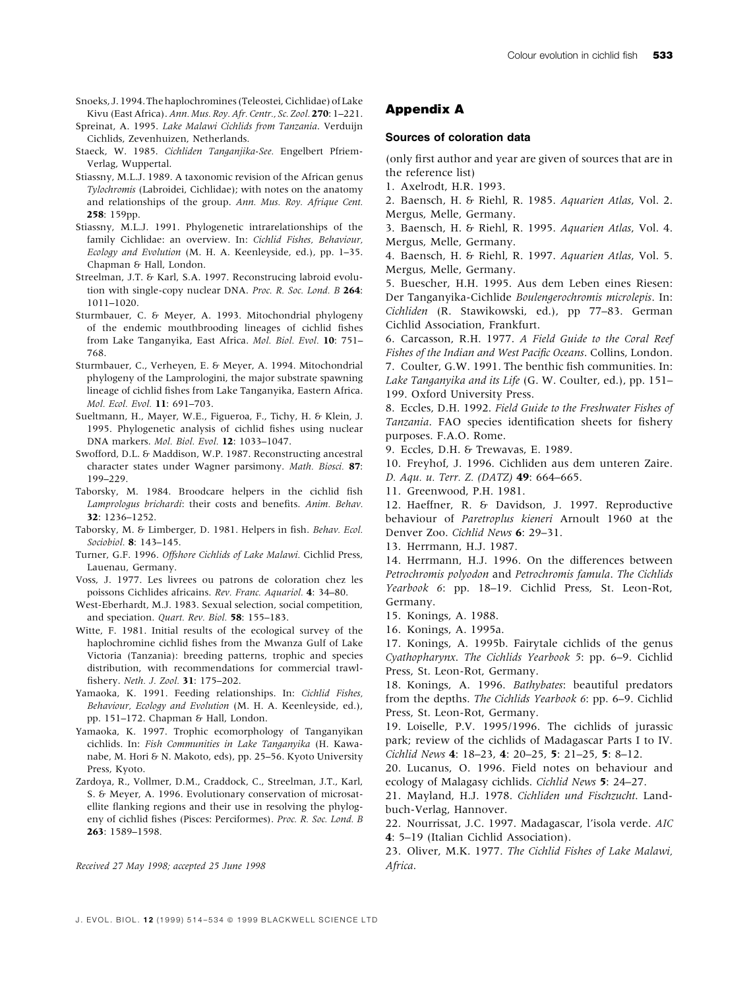- Snoeks, J. 1994. The haplochromines (Teleostei, Cichlidae) of Lake Kivu (East Africa). Ann. Mus. Roy. Afr. Centr., Sc. Zool. 270: 1-221.
- Spreinat, A. 1995. Lake Malawi Cichlids from Tanzania. Verduijn Cichlids, Zevenhuizen, Netherlands.
- Staeck, W. 1985. Cichliden Tanganjika-See. Engelbert Pfriem-Verlag, Wuppertal.
- Stiassny, M.L.J. 1989. A taxonomic revision of the African genus Tylochromis (Labroidei, Cichlidae); with notes on the anatomy and relationships of the group. Ann. Mus. Roy. Afrique Cent. 258: 159pp.
- Stiassny, M.L.J. 1991. Phylogenetic intrarelationships of the family Cichlidae: an overview. In: Cichlid Fishes, Behaviour, Ecology and Evolution (M. H. A. Keenleyside, ed.), pp. 1-35. Chapman & Hall, London.
- Streelman, J.T. & Karl, S.A. 1997. Reconstrucing labroid evolution with single-copy nuclear DNA. Proc. R. Soc. Lond. B 264: 1011±1020.
- Sturmbauer, C. & Meyer, A. 1993. Mitochondrial phylogeny of the endemic mouthbrooding lineages of cichlid fishes from Lake Tanganyika, East Africa. Mol. Biol. Evol. 10: 751-768.
- Sturmbauer, C., Verheyen, E. & Meyer, A. 1994. Mitochondrial phylogeny of the Lamprologini, the major substrate spawning lineage of cichlid fishes from Lake Tanganyika, Eastern Africa. Mol. Ecol. Evol. 11: 691-703.
- Sueltmann, H., Mayer, W.E., Figueroa, F., Tichy, H. & Klein, J. 1995. Phylogenetic analysis of cichlid fishes using nuclear DNA markers. Mol. Biol. Evol. 12: 1033-1047.
- Swofford, D.L. & Maddison, W.P. 1987. Reconstructing ancestral character states under Wagner parsimony. Math. Biosci. 87: 199±229.
- Taborsky, M. 1984. Broodcare helpers in the cichlid fish Lamprologus brichardi: their costs and benefits. Anim. Behav. 32: 1236±1252.
- Taborsky, M. & Limberger, D. 1981. Helpers in fish. Behav. Ecol. Sociobiol. 8: 143-145.
- Turner, G.F. 1996. Offshore Cichlids of Lake Malawi. Cichlid Press, Lauenau, Germany.
- Voss, J. 1977. Les livrees ou patrons de coloration chez les poissons Cichlides africains. Rev. Franc. Aquariol. 4: 34-80.
- West-Eberhardt, M.J. 1983. Sexual selection, social competition, and speciation. Quart. Rev. Biol. 58: 155-183.
- Witte, F. 1981. Initial results of the ecological survey of the haplochromine cichlid fishes from the Mwanza Gulf of Lake Victoria (Tanzania): breeding patterns, trophic and species distribution, with recommendations for commercial trawl fishery. Neth. J. Zool. 31: 175-202.
- Yamaoka, K. 1991. Feeding relationships. In: Cichlid Fishes, Behaviour, Ecology and Evolution (M. H. A. Keenleyside, ed.), pp. 151-172. Chapman & Hall, London.
- Yamaoka, K. 1997. Trophic ecomorphology of Tanganyikan cichlids. In: Fish Communities in Lake Tanganyika (H. Kawanabe, M. Hori & N. Makoto, eds), pp. 25-56. Kyoto University Press, Kyoto.
- Zardoya, R., Vollmer, D.M., Craddock, C., Streelman, J.T., Karl, S. & Meyer, A. 1996. Evolutionary conservation of microsatellite flanking regions and their use in resolving the phylogeny of cichlid fishes (Pisces: Perciformes). Proc. R. Soc. Lond. B 263: 1589±1598.

Received 27 May 1998; accepted 25 June 1998

# Appendix A

### Sources of coloration data

(only first author and year are given of sources that are in the reference list)

1. Axelrodt, H.R. 1993.

2. Baensch, H. & Riehl, R. 1985. Aquarien Atlas, Vol. 2. Mergus, Melle, Germany.

3. Baensch, H. & Riehl, R. 1995. Aquarien Atlas, Vol. 4. Mergus, Melle, Germany.

4. Baensch, H. & Riehl, R. 1997. Aquarien Atlas, Vol. 5. Mergus, Melle, Germany.

5. Buescher, H.H. 1995. Aus dem Leben eines Riesen: Der Tanganyika-Cichlide Boulengerochromis microlepis. In: Cichliden (R. Stawikowski, ed.), pp 77-83. German Cichlid Association, Frankfurt.

6. Carcasson, R.H. 1977. A Field Guide to the Coral Reef Fishes of the Indian and West Pacific Oceans. Collins, London. 7. Coulter, G.W. 1991. The benthic fish communities. In: Lake Tanganyika and its Life (G. W. Coulter, ed.), pp. 151-199. Oxford University Press.

8. Eccles, D.H. 1992. Field Guide to the Freshwater Fishes of Tanzania. FAO species identification sheets for fishery purposes. F.A.O. Rome.

9. Eccles, D.H. & Trewavas, E. 1989.

10. Freyhof, J. 1996. Cichliden aus dem unteren Zaire.

D. Aqu. u. Terr. Z. (DATZ) 49: 664-665.

11. Greenwood, P.H. 1981.

12. Haeffner, R. & Davidson, J. 1997. Reproductive behaviour of Paretroplus kieneri Arnoult 1960 at the Denver Zoo. Cichlid News 6: 29-31.

13. Herrmann, H.J. 1987.

14. Herrmann, H.J. 1996. On the differences between Petrochromis polyodon and Petrochromis famula. The Cichlids Yearbook 6: pp. 18-19. Cichlid Press, St. Leon-Rot, Germany.

15. Konings, A. 1988.

16. Konings, A. 1995a.

17. Konings, A. 1995b. Fairytale cichlids of the genus Cyathopharynx. The Cichlids Yearbook 5: pp. 6-9. Cichlid Press, St. Leon-Rot, Germany.

18. Konings, A. 1996. Bathybates: beautiful predators from the depths. The Cichlids Yearbook 6: pp. 6-9. Cichlid Press, St. Leon-Rot, Germany.

19. Loiselle, P.V. 1995/1996. The cichlids of jurassic park; review of the cichlids of Madagascar Parts I to IV. Cichlid News 4: 18-23, 4: 20-25, 5: 21-25, 5: 8-12.

20. Lucanus, O. 1996. Field notes on behaviour and ecology of Malagasy cichlids. Cichlid News 5: 24-27.

21. Mayland, H.J. 1978. Cichliden und Fischzucht. Landbuch-Verlag, Hannover.

22. Nourrissat, J.C. 1997. Madagascar, l'isola verde. AIC 4: 5-19 (Italian Cichlid Association).

23. Oliver, M.K. 1977. The Cichlid Fishes of Lake Malawi, Africa.